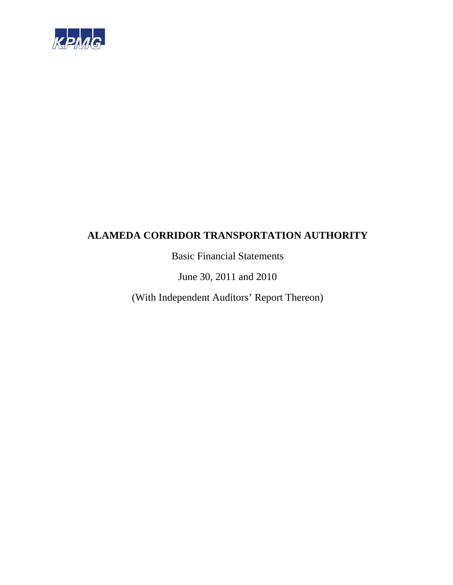

Basic Financial Statements

June 30, 2011 and 2010

(With Independent Auditors' Report Thereon)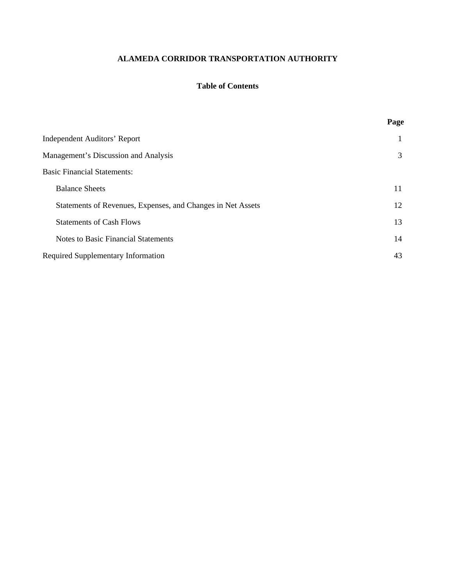## **Table of Contents**

|                                                             | Page |
|-------------------------------------------------------------|------|
| <b>Independent Auditors' Report</b>                         |      |
| Management's Discussion and Analysis                        | 3    |
| <b>Basic Financial Statements:</b>                          |      |
| <b>Balance Sheets</b>                                       | 11   |
| Statements of Revenues, Expenses, and Changes in Net Assets | 12   |
| <b>Statements of Cash Flows</b>                             | 13   |
| <b>Notes to Basic Financial Statements</b>                  | 14   |
| <b>Required Supplementary Information</b>                   | 43   |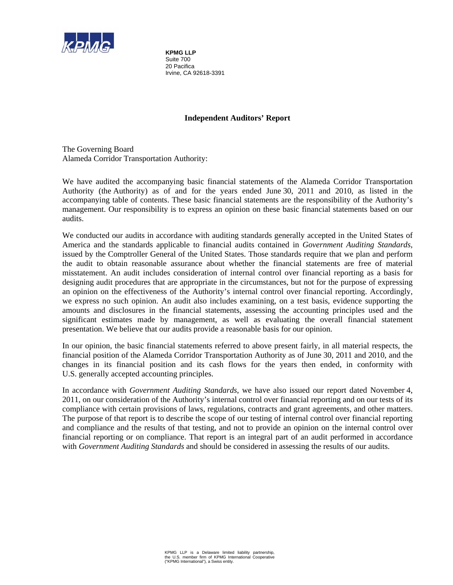

**KPMG LLP**  Suite 700 20 Pacifica Irvine, CA 92618-3391

## **Independent Auditors' Report**

The Governing Board Alameda Corridor Transportation Authority:

We have audited the accompanying basic financial statements of the Alameda Corridor Transportation Authority (the Authority) as of and for the years ended June 30, 2011 and 2010, as listed in the accompanying table of contents. These basic financial statements are the responsibility of the Authority's management. Our responsibility is to express an opinion on these basic financial statements based on our audits.

We conducted our audits in accordance with auditing standards generally accepted in the United States of America and the standards applicable to financial audits contained in *Government Auditing Standards*, issued by the Comptroller General of the United States. Those standards require that we plan and perform the audit to obtain reasonable assurance about whether the financial statements are free of material misstatement. An audit includes consideration of internal control over financial reporting as a basis for designing audit procedures that are appropriate in the circumstances, but not for the purpose of expressing an opinion on the effectiveness of the Authority's internal control over financial reporting. Accordingly, we express no such opinion. An audit also includes examining, on a test basis, evidence supporting the amounts and disclosures in the financial statements, assessing the accounting principles used and the significant estimates made by management, as well as evaluating the overall financial statement presentation. We believe that our audits provide a reasonable basis for our opinion.

In our opinion, the basic financial statements referred to above present fairly, in all material respects, the financial position of the Alameda Corridor Transportation Authority as of June 30, 2011 and 2010, and the changes in its financial position and its cash flows for the years then ended, in conformity with U.S. generally accepted accounting principles.

In accordance with *Government Auditing Standards*, we have also issued our report dated November 4, 2011, on our consideration of the Authority's internal control over financial reporting and on our tests of its compliance with certain provisions of laws, regulations, contracts and grant agreements, and other matters. The purpose of that report is to describe the scope of our testing of internal control over financial reporting and compliance and the results of that testing, and not to provide an opinion on the internal control over financial reporting or on compliance. That report is an integral part of an audit performed in accordance with *Government Auditing Standards* and should be considered in assessing the results of our audits.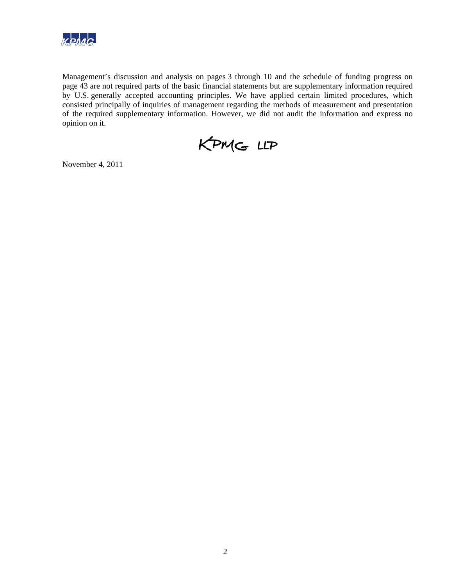

Management's discussion and analysis on pages 3 through 10 and the schedule of funding progress on page 43 are not required parts of the basic financial statements but are supplementary information required by U.S. generally accepted accounting principles. We have applied certain limited procedures, which consisted principally of inquiries of management regarding the methods of measurement and presentation of the required supplementary information. However, we did not audit the information and express no opinion on it.

KPMG LLP

November 4, 2011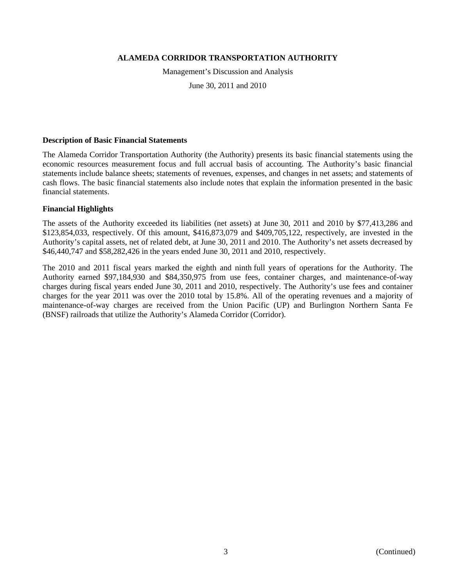Management's Discussion and Analysis

June 30, 2011 and 2010

#### **Description of Basic Financial Statements**

The Alameda Corridor Transportation Authority (the Authority) presents its basic financial statements using the economic resources measurement focus and full accrual basis of accounting. The Authority's basic financial statements include balance sheets; statements of revenues, expenses, and changes in net assets; and statements of cash flows. The basic financial statements also include notes that explain the information presented in the basic financial statements.

#### **Financial Highlights**

The assets of the Authority exceeded its liabilities (net assets) at June 30, 2011 and 2010 by \$77,413,286 and \$123,854,033, respectively. Of this amount, \$416,873,079 and \$409,705,122, respectively, are invested in the Authority's capital assets, net of related debt, at June 30, 2011 and 2010. The Authority's net assets decreased by \$46,440,747 and \$58,282,426 in the years ended June 30, 2011 and 2010, respectively.

The 2010 and 2011 fiscal years marked the eighth and ninth full years of operations for the Authority. The Authority earned \$97,184,930 and \$84,350,975 from use fees, container charges, and maintenance-of-way charges during fiscal years ended June 30, 2011 and 2010, respectively. The Authority's use fees and container charges for the year 2011 was over the 2010 total by 15.8%. All of the operating revenues and a majority of maintenance-of-way charges are received from the Union Pacific (UP) and Burlington Northern Santa Fe (BNSF) railroads that utilize the Authority's Alameda Corridor (Corridor).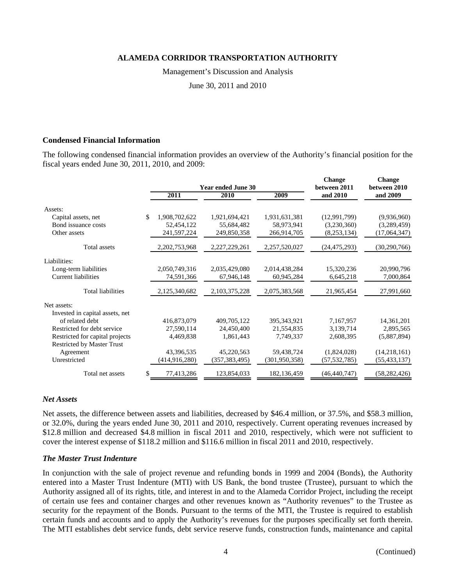Management's Discussion and Analysis

June 30, 2011 and 2010

#### **Condensed Financial Information**

The following condensed financial information provides an overview of the Authority's financial position for the fiscal years ended June 30, 2011, 2010, and 2009:

|                                   |                                  |                 | <b>Year ended June 30</b> | <b>Change</b><br>between 2011 | <b>Change</b><br>between 2010 |                |
|-----------------------------------|----------------------------------|-----------------|---------------------------|-------------------------------|-------------------------------|----------------|
|                                   | 2009<br>and 2010<br>2011<br>2010 |                 | and 2009                  |                               |                               |                |
| Assets:                           |                                  |                 |                           |                               |                               |                |
| Capital assets, net               | \$                               | 1,908,702,622   | 1,921,694,421             | 1,931,631,381                 | (12, 991, 799)                | (9,936,960)    |
| Bond issuance costs               |                                  | 52,454,122      | 55,684,482                | 58,973,941                    | (3,230,360)                   | (3,289,459)    |
| Other assets                      |                                  | 241,597,224     | 249,850,358               | 266,914,705                   | (8, 253, 134)                 | (17,064,347)   |
| Total assets                      |                                  | 2,202,753,968   | 2,227,229,261             | 2,257,520,027                 | (24, 475, 293)                | (30, 290, 766) |
| Liabilities:                      |                                  |                 |                           |                               |                               |                |
| Long-term liabilities             |                                  | 2,050,749,316   | 2,035,429,080             | 2,014,438,284                 | 15,320,236                    | 20,990,796     |
| <b>Current liabilities</b>        |                                  | 74,591,366      | 67,946,148                | 60,945,284                    | 6,645,218                     | 7,000,864      |
| <b>Total liabilities</b>          |                                  | 2,125,340,682   | 2,103,375,228             | 2,075,383,568                 | 21,965,454                    | 27,991,660     |
| Net assets:                       |                                  |                 |                           |                               |                               |                |
| Invested in capital assets, net   |                                  |                 |                           |                               |                               |                |
| of related debt                   |                                  | 416,873,079     | 409,705,122               | 395, 343, 921                 | 7,167,957                     | 14,361,201     |
| Restricted for debt service       |                                  | 27,590,114      | 24,450,400                | 21,554,835                    | 3,139,714                     | 2,895,565      |
| Restricted for capital projects   |                                  | 4,469,838       | 1,861,443                 | 7,749,337                     | 2,608,395                     | (5,887,894)    |
| <b>Restricted by Master Trust</b> |                                  |                 |                           |                               |                               |                |
| Agreement                         |                                  | 43,396,535      | 45,220,563                | 59,438,724                    | (1,824,028)                   | (14,218,161)   |
| Unrestricted                      |                                  | (414, 916, 280) | (357, 383, 495)           | (301, 950, 358)               | (57, 532, 785)                | (55, 433, 137) |
| Total net assets                  | S                                | 77,413,286      | 123,854,033               | 182,136,459                   | (46, 440, 747)                | (58, 282, 426) |

#### *Net Assets*

Net assets, the difference between assets and liabilities, decreased by \$46.4 million, or 37.5%, and \$58.3 million, or 32.0%, during the years ended June 30, 2011 and 2010, respectively. Current operating revenues increased by \$12.8 million and decreased \$4.8 million in fiscal 2011 and 2010, respectively, which were not sufficient to cover the interest expense of \$118.2 million and \$116.6 million in fiscal 2011 and 2010, respectively.

#### *The Master Trust Indenture*

In conjunction with the sale of project revenue and refunding bonds in 1999 and 2004 (Bonds), the Authority entered into a Master Trust Indenture (MTI) with US Bank, the bond trustee (Trustee), pursuant to which the Authority assigned all of its rights, title, and interest in and to the Alameda Corridor Project, including the receipt of certain use fees and container charges and other revenues known as "Authority revenues" to the Trustee as security for the repayment of the Bonds. Pursuant to the terms of the MTI, the Trustee is required to establish certain funds and accounts and to apply the Authority's revenues for the purposes specifically set forth therein. The MTI establishes debt service funds, debt service reserve funds, construction funds, maintenance and capital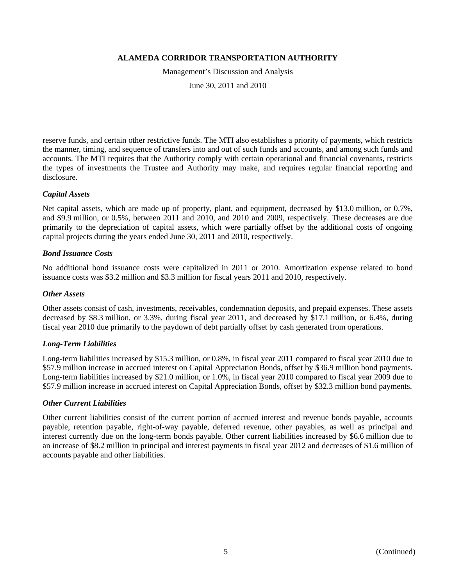Management's Discussion and Analysis

June 30, 2011 and 2010

reserve funds, and certain other restrictive funds. The MTI also establishes a priority of payments, which restricts the manner, timing, and sequence of transfers into and out of such funds and accounts, and among such funds and accounts. The MTI requires that the Authority comply with certain operational and financial covenants, restricts the types of investments the Trustee and Authority may make, and requires regular financial reporting and disclosure.

#### *Capital Assets*

Net capital assets, which are made up of property, plant, and equipment, decreased by \$13.0 million, or 0.7%, and \$9.9 million, or 0.5%, between 2011 and 2010, and 2010 and 2009, respectively. These decreases are due primarily to the depreciation of capital assets, which were partially offset by the additional costs of ongoing capital projects during the years ended June 30, 2011 and 2010, respectively.

#### *Bond Issuance Costs*

No additional bond issuance costs were capitalized in 2011 or 2010. Amortization expense related to bond issuance costs was \$3.2 million and \$3.3 million for fiscal years 2011 and 2010, respectively.

#### *Other Assets*

Other assets consist of cash, investments, receivables, condemnation deposits, and prepaid expenses. These assets decreased by \$8.3 million, or 3.3%, during fiscal year 2011, and decreased by \$17.1 million, or 6.4%, during fiscal year 2010 due primarily to the paydown of debt partially offset by cash generated from operations.

#### *Long-Term Liabilities*

Long-term liabilities increased by \$15.3 million, or 0.8%, in fiscal year 2011 compared to fiscal year 2010 due to \$57.9 million increase in accrued interest on Capital Appreciation Bonds, offset by \$36.9 million bond payments. Long-term liabilities increased by \$21.0 million, or 1.0%, in fiscal year 2010 compared to fiscal year 2009 due to \$57.9 million increase in accrued interest on Capital Appreciation Bonds, offset by \$32.3 million bond payments.

#### *Other Current Liabilities*

Other current liabilities consist of the current portion of accrued interest and revenue bonds payable, accounts payable, retention payable, right-of-way payable, deferred revenue, other payables, as well as principal and interest currently due on the long-term bonds payable. Other current liabilities increased by \$6.6 million due to an increase of \$8.2 million in principal and interest payments in fiscal year 2012 and decreases of \$1.6 million of accounts payable and other liabilities.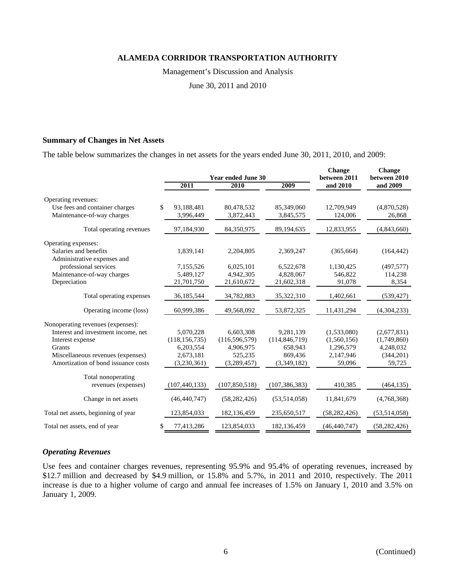Management's Discussion and Analysis

June 30, 2011 and 2010

#### **Summary of Changes in Net Assets**

The table below summarizes the changes in net assets for the years ended June 30, 2011, 2010, and 2009:

|                                     |                  | <b>Year ended June 30</b> |                   | <b>Change</b><br>between 2011 | <b>Change</b><br>between 2010 |  |
|-------------------------------------|------------------|---------------------------|-------------------|-------------------------------|-------------------------------|--|
|                                     | 2011             | 2010                      | $\overline{2009}$ | and 2010                      | and 2009                      |  |
| Operating revenues:                 |                  |                           |                   |                               |                               |  |
| Use fees and container charges      | \$<br>93,188,481 | 80,478,532                | 85,349,060        | 12,709,949                    | (4,870,528)                   |  |
| Maintenance-of-way charges          | 3,996,449        | 3,872,443                 | 3,845,575         | 124,006                       | 26,868                        |  |
| Total operating revenues            | 97,184,930       | 84,350,975                | 89,194,635        | 12,833,955                    | (4,843,660)                   |  |
| Operating expenses:                 |                  |                           |                   |                               |                               |  |
| Salaries and benefits               | 1,839,141        | 2,204,805                 | 2,369,247         | (365, 664)                    | (164, 442)                    |  |
| Administrative expenses and         |                  |                           |                   |                               |                               |  |
| professional services               | 7,155,526        | 6,025,101                 | 6,522,678         | 1,130,425                     | (497, 577)                    |  |
| Maintenance-of-way charges          | 5,489,127        | 4,942,305                 | 4,828,067         | 546,822                       | 114,238                       |  |
| Depreciation                        | 21,701,750       | 21,610,672                | 21,602,318        | 91,078                        | 8,354                         |  |
| Total operating expenses            | 36,185,544       | 34,782,883                | 35,322,310        | 1,402,661                     | (539, 427)                    |  |
| Operating income (loss)             | 60,999,386       | 49,568,092                | 53,872,325        | 11,431,294                    | (4,304,233)                   |  |
| Nonoperating revenues (expenses):   |                  |                           |                   |                               |                               |  |
| Interest and investment income, net | 5,070,228        | 6,603,308                 | 9,281,139         | (1,533,080)                   | (2,677,831)                   |  |
| Interest expense                    | (118, 156, 735)  | (116, 596, 579)           | (114, 846, 719)   | (1,560,156)                   | (1,749,860)                   |  |
| Grants                              | 6,203,554        | 4,906,975                 | 658,943           | 1,296,579                     | 4,248,032                     |  |
| Miscellaneous revenues (expenses)   | 2,673,181        | 525,235                   | 869,436           | 2,147,946                     | (344,201)                     |  |
| Amortization of bond issuance costs | (3,230,361)      | (3,289,457)               | (3,349,182)       | 59,096                        | 59,725                        |  |
| Total nonoperating                  |                  |                           |                   |                               |                               |  |
| revenues (expenses)                 | (107, 440, 133)  | (107, 850, 518)           | (107, 386, 383)   | 410,385                       | (464, 135)                    |  |
| Change in net assets                | (46, 440, 747)   | (58, 282, 426)            | (53,514,058)      | 11,841,679                    | (4,768,368)                   |  |
| Total net assets, beginning of year | 123,854,033      | 182, 136, 459             | 235,650,517       | (58, 282, 426)                | (53,514,058)                  |  |
| Total net assets, end of year       | \$<br>77,413,286 | 123,854,033               | 182,136,459       | (46, 440, 747)                | (58, 282, 426)                |  |

#### *Operating Revenues*

Use fees and container charges revenues, representing 95.9% and 95.4% of operating revenues, increased by \$12.7 million and decreased by \$4.9 million, or 15.8% and 5.7%, in 2011 and 2010, respectively. The 2011 increase is due to a higher volume of cargo and annual fee increases of 1.5% on January 1, 2010 and 3.5% on January 1, 2009.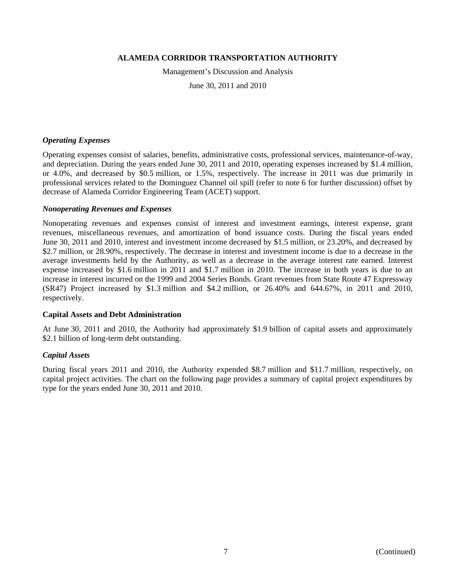Management's Discussion and Analysis

June 30, 2011 and 2010

#### *Operating Expenses*

Operating expenses consist of salaries, benefits, administrative costs, professional services, maintenance-of-way, and depreciation. During the years ended June 30, 2011 and 2010, operating expenses increased by \$1.4 million, or 4.0%, and decreased by \$0.5 million, or 1.5%, respectively. The increase in 2011 was due primarily in professional services related to the Dominguez Channel oil spill (refer to note 6 for further discussion) offset by decrease of Alameda Corridor Engineering Team (ACET) support.

#### *Nonoperating Revenues and Expenses*

Nonoperating revenues and expenses consist of interest and investment earnings, interest expense, grant revenues, miscellaneous revenues, and amortization of bond issuance costs. During the fiscal years ended June 30, 2011 and 2010, interest and investment income decreased by \$1.5 million, or 23.20%, and decreased by \$2.7 million, or 28.90%, respectively. The decrease in interest and investment income is due to a decrease in the average investments held by the Authority, as well as a decrease in the average interest rate earned. Interest expense increased by \$1.6 million in 2011 and \$1.7 million in 2010. The increase in both years is due to an increase in interest incurred on the 1999 and 2004 Series Bonds. Grant revenues from State Route 47 Expressway (SR47) Project increased by \$1.3 million and \$4.2 million, or 26.40% and 644.67%, in 2011 and 2010, respectively.

#### **Capital Assets and Debt Administration**

At June 30, 2011 and 2010, the Authority had approximately \$1.9 billion of capital assets and approximately \$2.1 billion of long-term debt outstanding.

### *Capital Assets*

During fiscal years 2011 and 2010, the Authority expended \$8.7 million and \$11.7 million, respectively, on capital project activities. The chart on the following page provides a summary of capital project expenditures by type for the years ended June 30, 2011 and 2010.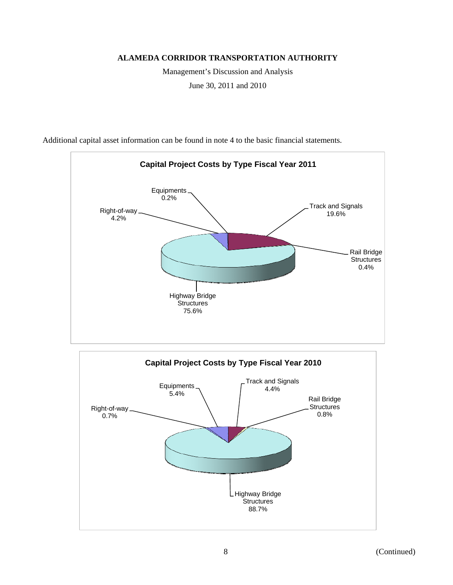Management's Discussion and Analysis

June 30, 2011 and 2010

Additional capital asset information can be found in note 4 to the basic financial statements.



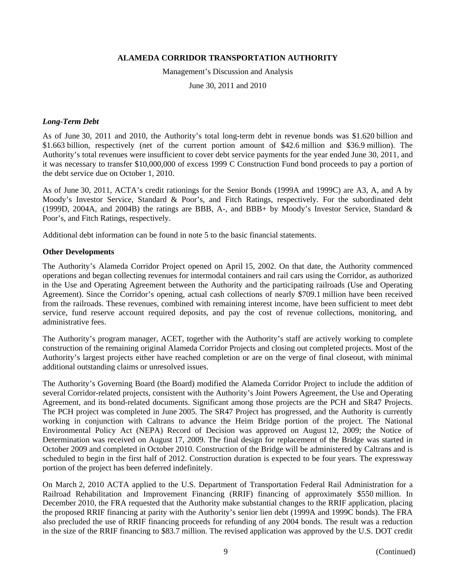Management's Discussion and Analysis

June 30, 2011 and 2010

#### *Long-Term Debt*

As of June 30, 2011 and 2010, the Authority's total long-term debt in revenue bonds was \$1.620 billion and \$1.663 billion, respectively (net of the current portion amount of \$42.6 million and \$36.9 million). The Authority's total revenues were insufficient to cover debt service payments for the year ended June 30, 2011, and it was necessary to transfer \$10,000,000 of excess 1999 C Construction Fund bond proceeds to pay a portion of the debt service due on October 1, 2010.

As of June 30, 2011, ACTA's credit rationings for the Senior Bonds (1999A and 1999C) are A3, A, and A by Moody's Investor Service, Standard & Poor's, and Fitch Ratings, respectively. For the subordinated debt (1999D, 2004A, and 2004B) the ratings are BBB, A-, and BBB+ by Moody's Investor Service, Standard & Poor's, and Fitch Ratings, respectively.

Additional debt information can be found in note 5 to the basic financial statements.

#### **Other Developments**

The Authority's Alameda Corridor Project opened on April 15, 2002. On that date, the Authority commenced operations and began collecting revenues for intermodal containers and rail cars using the Corridor, as authorized in the Use and Operating Agreement between the Authority and the participating railroads (Use and Operating Agreement). Since the Corridor's opening, actual cash collections of nearly \$709.1 million have been received from the railroads. These revenues, combined with remaining interest income, have been sufficient to meet debt service, fund reserve account required deposits, and pay the cost of revenue collections, monitoring, and administrative fees.

The Authority's program manager, ACET, together with the Authority's staff are actively working to complete construction of the remaining original Alameda Corridor Projects and closing out completed projects. Most of the Authority's largest projects either have reached completion or are on the verge of final closeout, with minimal additional outstanding claims or unresolved issues.

The Authority's Governing Board (the Board) modified the Alameda Corridor Project to include the addition of several Corridor-related projects, consistent with the Authority's Joint Powers Agreement, the Use and Operating Agreement, and its bond-related documents. Significant among those projects are the PCH and SR47 Projects. The PCH project was completed in June 2005. The SR47 Project has progressed, and the Authority is currently working in conjunction with Caltrans to advance the Heim Bridge portion of the project. The National Environmental Policy Act (NEPA) Record of Decision was approved on August 12, 2009; the Notice of Determination was received on August 17, 2009. The final design for replacement of the Bridge was started in October 2009 and completed in October 2010. Construction of the Bridge will be administered by Caltrans and is scheduled to begin in the first half of 2012. Construction duration is expected to be four years. The expressway portion of the project has been deferred indefinitely.

On March 2, 2010 ACTA applied to the U.S. Department of Transportation Federal Rail Administration for a Railroad Rehabilitation and Improvement Financing (RRIF) financing of approximately \$550 million. In December 2010, the FRA requested that the Authority make substantial changes to the RRIF application, placing the proposed RRIF financing at parity with the Authority's senior lien debt (1999A and 1999C bonds). The FRA also precluded the use of RRIF financing proceeds for refunding of any 2004 bonds. The result was a reduction in the size of the RRIF financing to \$83.7 million. The revised application was approved by the U.S. DOT credit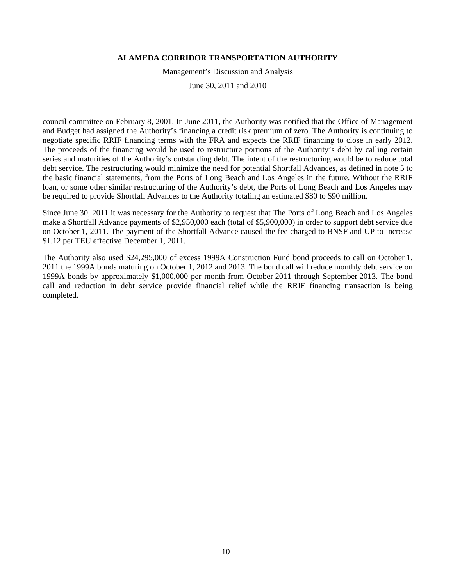Management's Discussion and Analysis

June 30, 2011 and 2010

council committee on February 8, 2001. In June 2011, the Authority was notified that the Office of Management and Budget had assigned the Authority's financing a credit risk premium of zero. The Authority is continuing to negotiate specific RRIF financing terms with the FRA and expects the RRIF financing to close in early 2012. The proceeds of the financing would be used to restructure portions of the Authority's debt by calling certain series and maturities of the Authority's outstanding debt. The intent of the restructuring would be to reduce total debt service. The restructuring would minimize the need for potential Shortfall Advances, as defined in note 5 to the basic financial statements, from the Ports of Long Beach and Los Angeles in the future. Without the RRIF loan, or some other similar restructuring of the Authority's debt, the Ports of Long Beach and Los Angeles may be required to provide Shortfall Advances to the Authority totaling an estimated \$80 to \$90 million.

Since June 30, 2011 it was necessary for the Authority to request that The Ports of Long Beach and Los Angeles make a Shortfall Advance payments of \$2,950,000 each (total of \$5,900,000) in order to support debt service due on October 1, 2011. The payment of the Shortfall Advance caused the fee charged to BNSF and UP to increase \$1.12 per TEU effective December 1, 2011.

The Authority also used \$24,295,000 of excess 1999A Construction Fund bond proceeds to call on October 1, 2011 the 1999A bonds maturing on October 1, 2012 and 2013. The bond call will reduce monthly debt service on 1999A bonds by approximately \$1,000,000 per month from October 2011 through September 2013. The bond call and reduction in debt service provide financial relief while the RRIF financing transaction is being completed.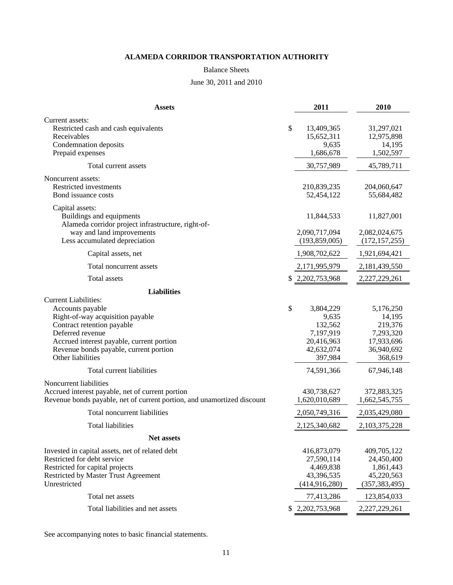### Balance Sheets

### June 30, 2011 and 2010

| <b>Assets</b>                                                                                                                                                                                                                                                                                        | 2011                                                                                                  | 2010                                                                                             |
|------------------------------------------------------------------------------------------------------------------------------------------------------------------------------------------------------------------------------------------------------------------------------------------------------|-------------------------------------------------------------------------------------------------------|--------------------------------------------------------------------------------------------------|
| Current assets:<br>Restricted cash and cash equivalents<br>Receivables<br>Condemnation deposits<br>Prepaid expenses                                                                                                                                                                                  | \$<br>13,409,365<br>15,652,311<br>9,635<br>1,686,678                                                  | 31,297,021<br>12,975,898<br>14,195<br>1,502,597                                                  |
| Total current assets                                                                                                                                                                                                                                                                                 | 30,757,989                                                                                            | 45,789,711                                                                                       |
| Noncurrent assets:<br>Restricted investments<br>Bond issuance costs                                                                                                                                                                                                                                  | 210,839,235<br>52,454,122                                                                             | 204,060,647<br>55,684,482                                                                        |
| Capital assets:<br>Buildings and equipments<br>Alameda corridor project infrastructure, right-of-<br>way and land improvements<br>Less accumulated depreciation                                                                                                                                      | 11,844,533<br>2,090,717,094<br>(193, 859, 005)                                                        | 11,827,001<br>2,082,024,675<br>(172, 157, 255)                                                   |
| Capital assets, net                                                                                                                                                                                                                                                                                  | 1,908,702,622                                                                                         | 1,921,694,421                                                                                    |
| Total noncurrent assets                                                                                                                                                                                                                                                                              | 2,171,995,979                                                                                         | 2,181,439,550                                                                                    |
| Total assets                                                                                                                                                                                                                                                                                         | 2,202,753,968<br>S.                                                                                   | 2,227,229,261                                                                                    |
| <b>Liabilities</b><br><b>Current Liabilities:</b><br>Accounts payable<br>Right-of-way acquisition payable<br>Contract retention payable<br>Deferred revenue<br>Accrued interest payable, current portion<br>Revenue bonds payable, current portion<br>Other liabilities<br>Total current liabilities | \$<br>3,804,229<br>9,635<br>132,562<br>7,197,919<br>20,416,963<br>42,632,074<br>397,984<br>74,591,366 | 5,176,250<br>14,195<br>219,376<br>7,293,320<br>17,933,696<br>36,940,692<br>368,619<br>67,946,148 |
| Noncurrent liabilities<br>Accrued interest payable, net of current portion<br>Revenue bonds payable, net of current portion, and unamortized discount                                                                                                                                                | 430,738,627<br>1,620,010,689                                                                          | 372,883,325<br>1,662,545,755                                                                     |
| Total noncurrent liabilities                                                                                                                                                                                                                                                                         | 2,050,749,316                                                                                         | 2,035,429,080                                                                                    |
| <b>Total liabilities</b>                                                                                                                                                                                                                                                                             | 2,125,340,682                                                                                         | 2,103,375,228                                                                                    |
| Net assets                                                                                                                                                                                                                                                                                           |                                                                                                       |                                                                                                  |
| Invested in capital assets, net of related debt<br>Restricted for debt service<br>Restricted for capital projects<br><b>Restricted by Master Trust Agreement</b><br>Unrestricted                                                                                                                     | 416,873,079<br>27,590,114<br>4,469,838<br>43,396,535<br>(414, 916, 280)                               | 409,705,122<br>24,450,400<br>1,861,443<br>45,220,563<br>(357, 383, 495)                          |
| Total net assets                                                                                                                                                                                                                                                                                     | 77,413,286                                                                                            | 123,854,033                                                                                      |
| Total liabilities and net assets                                                                                                                                                                                                                                                                     | \$2,202,753,968                                                                                       | 2,227,229,261                                                                                    |

See accompanying notes to basic financial statements.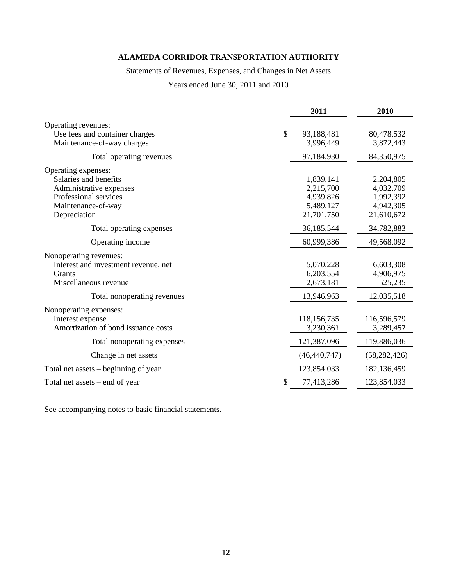## Statements of Revenues, Expenses, and Changes in Net Assets

Years ended June 30, 2011 and 2010

|                                                                                                                                        | 2011                                                           | 2010                                                           |
|----------------------------------------------------------------------------------------------------------------------------------------|----------------------------------------------------------------|----------------------------------------------------------------|
| Operating revenues:<br>Use fees and container charges<br>Maintenance-of-way charges                                                    | $\mathcal{S}$<br>93,188,481<br>3,996,449                       | 80,478,532<br>3,872,443                                        |
| Total operating revenues                                                                                                               | 97,184,930                                                     | 84,350,975                                                     |
| Operating expenses:<br>Salaries and benefits<br>Administrative expenses<br>Professional services<br>Maintenance-of-way<br>Depreciation | 1,839,141<br>2,215,700<br>4,939,826<br>5,489,127<br>21,701,750 | 2,204,805<br>4,032,709<br>1,992,392<br>4,942,305<br>21,610,672 |
| Total operating expenses                                                                                                               | 36,185,544                                                     | 34,782,883                                                     |
| Operating income                                                                                                                       | 60,999,386                                                     | 49,568,092                                                     |
| Nonoperating revenues:<br>Interest and investment revenue, net<br><b>Grants</b><br>Miscellaneous revenue                               | 5,070,228<br>6,203,554<br>2,673,181                            | 6,603,308<br>4,906,975<br>525,235                              |
| Total nonoperating revenues                                                                                                            | 13,946,963                                                     | 12,035,518                                                     |
| Nonoperating expenses:<br>Interest expense<br>Amortization of bond issuance costs                                                      | 118,156,735<br>3,230,361                                       | 116,596,579<br>3,289,457                                       |
| Total nonoperating expenses                                                                                                            | 121,387,096                                                    | 119,886,036                                                    |
| Change in net assets                                                                                                                   | (46, 440, 747)                                                 | (58, 282, 426)                                                 |
| Total net assets – beginning of year                                                                                                   | 123,854,033                                                    | 182,136,459                                                    |
| Total net assets – end of year                                                                                                         | \$<br>77,413,286                                               | 123,854,033                                                    |

See accompanying notes to basic financial statements.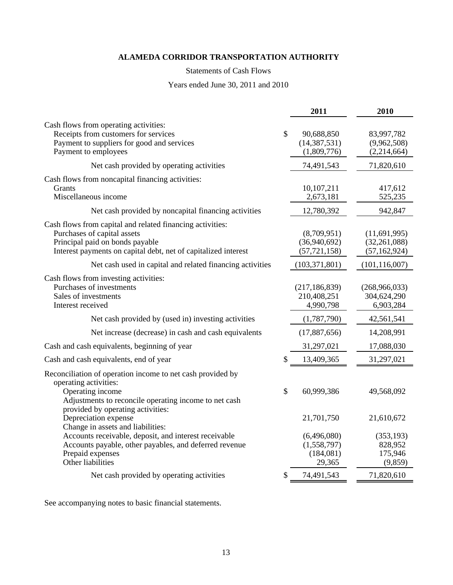### Statements of Cash Flows

## Years ended June 30, 2011 and 2010

|                                                                                                                                                                                                                       |               | 2011                                                            | 2010                                                      |
|-----------------------------------------------------------------------------------------------------------------------------------------------------------------------------------------------------------------------|---------------|-----------------------------------------------------------------|-----------------------------------------------------------|
| Cash flows from operating activities:<br>Receipts from customers for services<br>Payment to suppliers for good and services<br>Payment to employees                                                                   | $\mathcal{S}$ | 90,688,850<br>(14, 387, 531)<br>(1,809,776)                     | 83,997,782<br>(9,962,508)<br>(2,214,664)                  |
| Net cash provided by operating activities                                                                                                                                                                             |               | 74,491,543                                                      | 71,820,610                                                |
| Cash flows from noncapital financing activities:<br><b>Grants</b><br>Miscellaneous income                                                                                                                             |               | 10,107,211<br>2,673,181                                         | 417,612<br>525,235                                        |
| Net cash provided by noncapital financing activities                                                                                                                                                                  |               | 12,780,392                                                      | 942,847                                                   |
| Cash flows from capital and related financing activities:<br>Purchases of capital assets<br>Principal paid on bonds payable<br>Interest payments on capital debt, net of capitalized interest                         |               | (8,709,951)<br>(36,940,692)<br>(57, 721, 158)                   | (11,691,995)<br>(32, 261, 088)<br>(57, 162, 924)          |
| Net cash used in capital and related financing activities                                                                                                                                                             |               | (103, 371, 801)                                                 | (101, 116, 007)                                           |
| Cash flows from investing activities:<br>Purchases of investments<br>Sales of investments<br>Interest received                                                                                                        |               | (217, 186, 839)<br>210,408,251<br>4,990,798                     | (268,966,033)<br>304,624,290<br>6,903,284                 |
| Net cash provided by (used in) investing activities                                                                                                                                                                   |               | (1,787,790)                                                     | 42,561,541                                                |
| Net increase (decrease) in cash and cash equivalents                                                                                                                                                                  |               | (17,887,656)                                                    | 14,208,991                                                |
| Cash and cash equivalents, beginning of year                                                                                                                                                                          |               | 31,297,021                                                      | 17,088,030                                                |
| Cash and cash equivalents, end of year                                                                                                                                                                                | \$            | 13,409,365                                                      | 31,297,021                                                |
| Reconciliation of operation income to net cash provided by<br>operating activities:<br>Operating income<br>Adjustments to reconcile operating income to net cash<br>provided by operating activities:                 | \$            | 60,999,386                                                      | 49,568,092                                                |
| Depreciation expense<br>Change in assets and liabilities:<br>Accounts receivable, deposit, and interest receivable<br>Accounts payable, other payables, and deferred revenue<br>Prepaid expenses<br>Other liabilities |               | 21,701,750<br>(6,496,080)<br>(1,558,797)<br>(184,081)<br>29,365 | 21,610,672<br>(353, 193)<br>828,952<br>175,946<br>(9,859) |
| Net cash provided by operating activities                                                                                                                                                                             | \$            | 74,491,543                                                      | 71,820,610                                                |

See accompanying notes to basic financial statements.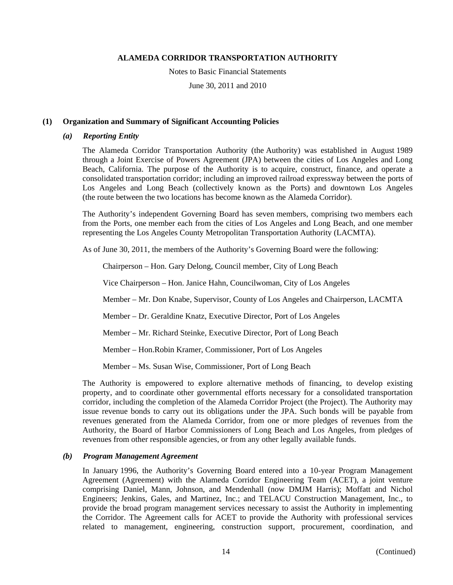Notes to Basic Financial Statements

June 30, 2011 and 2010

#### **(1) Organization and Summary of Significant Accounting Policies**

#### *(a) Reporting Entity*

The Alameda Corridor Transportation Authority (the Authority) was established in August 1989 through a Joint Exercise of Powers Agreement (JPA) between the cities of Los Angeles and Long Beach, California. The purpose of the Authority is to acquire, construct, finance, and operate a consolidated transportation corridor; including an improved railroad expressway between the ports of Los Angeles and Long Beach (collectively known as the Ports) and downtown Los Angeles (the route between the two locations has become known as the Alameda Corridor).

The Authority's independent Governing Board has seven members, comprising two members each from the Ports, one member each from the cities of Los Angeles and Long Beach, and one member representing the Los Angeles County Metropolitan Transportation Authority (LACMTA).

As of June 30, 2011, the members of the Authority's Governing Board were the following:

Chairperson – Hon. Gary Delong, Council member, City of Long Beach

Vice Chairperson – Hon. Janice Hahn, Councilwoman, City of Los Angeles

Member – Mr. Don Knabe, Supervisor, County of Los Angeles and Chairperson, LACMTA

Member – Dr. Geraldine Knatz, Executive Director, Port of Los Angeles

Member – Mr. Richard Steinke, Executive Director, Port of Long Beach

Member – Hon.Robin Kramer, Commissioner, Port of Los Angeles

Member – Ms. Susan Wise, Commissioner, Port of Long Beach

The Authority is empowered to explore alternative methods of financing, to develop existing property, and to coordinate other governmental efforts necessary for a consolidated transportation corridor, including the completion of the Alameda Corridor Project (the Project). The Authority may issue revenue bonds to carry out its obligations under the JPA. Such bonds will be payable from revenues generated from the Alameda Corridor, from one or more pledges of revenues from the Authority, the Board of Harbor Commissioners of Long Beach and Los Angeles, from pledges of revenues from other responsible agencies, or from any other legally available funds.

#### *(b) Program Management Agreement*

In January 1996, the Authority's Governing Board entered into a 10-year Program Management Agreement (Agreement) with the Alameda Corridor Engineering Team (ACET), a joint venture comprising Daniel, Mann, Johnson, and Mendenhall (now DMJM Harris); Moffatt and Nichol Engineers; Jenkins, Gales, and Martinez, Inc.; and TELACU Construction Management, Inc., to provide the broad program management services necessary to assist the Authority in implementing the Corridor. The Agreement calls for ACET to provide the Authority with professional services related to management, engineering, construction support, procurement, coordination, and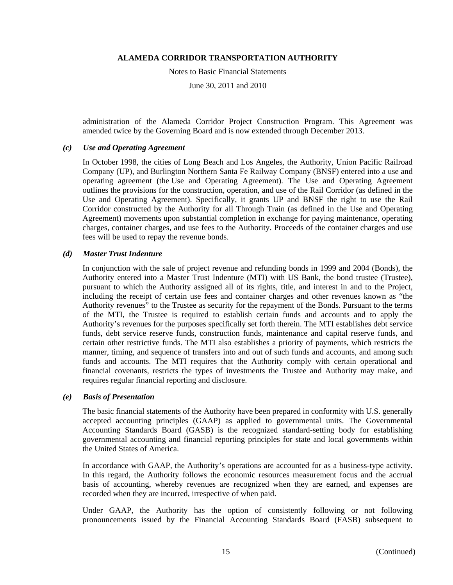Notes to Basic Financial Statements

June 30, 2011 and 2010

administration of the Alameda Corridor Project Construction Program. This Agreement was amended twice by the Governing Board and is now extended through December 2013.

#### *(c) Use and Operating Agreement*

In October 1998, the cities of Long Beach and Los Angeles, the Authority, Union Pacific Railroad Company (UP), and Burlington Northern Santa Fe Railway Company (BNSF) entered into a use and operating agreement (the Use and Operating Agreement). The Use and Operating Agreement outlines the provisions for the construction, operation, and use of the Rail Corridor (as defined in the Use and Operating Agreement). Specifically, it grants UP and BNSF the right to use the Rail Corridor constructed by the Authority for all Through Train (as defined in the Use and Operating Agreement) movements upon substantial completion in exchange for paying maintenance, operating charges, container charges, and use fees to the Authority. Proceeds of the container charges and use fees will be used to repay the revenue bonds.

### *(d) Master Trust Indenture*

In conjunction with the sale of project revenue and refunding bonds in 1999 and 2004 (Bonds), the Authority entered into a Master Trust Indenture (MTI) with US Bank, the bond trustee (Trustee), pursuant to which the Authority assigned all of its rights, title, and interest in and to the Project, including the receipt of certain use fees and container charges and other revenues known as "the Authority revenues" to the Trustee as security for the repayment of the Bonds. Pursuant to the terms of the MTI, the Trustee is required to establish certain funds and accounts and to apply the Authority's revenues for the purposes specifically set forth therein. The MTI establishes debt service funds, debt service reserve funds, construction funds, maintenance and capital reserve funds, and certain other restrictive funds. The MTI also establishes a priority of payments, which restricts the manner, timing, and sequence of transfers into and out of such funds and accounts, and among such funds and accounts. The MTI requires that the Authority comply with certain operational and financial covenants, restricts the types of investments the Trustee and Authority may make, and requires regular financial reporting and disclosure.

#### *(e) Basis of Presentation*

The basic financial statements of the Authority have been prepared in conformity with U.S. generally accepted accounting principles (GAAP) as applied to governmental units. The Governmental Accounting Standards Board (GASB) is the recognized standard-setting body for establishing governmental accounting and financial reporting principles for state and local governments within the United States of America.

In accordance with GAAP, the Authority's operations are accounted for as a business-type activity. In this regard, the Authority follows the economic resources measurement focus and the accrual basis of accounting, whereby revenues are recognized when they are earned, and expenses are recorded when they are incurred, irrespective of when paid.

Under GAAP, the Authority has the option of consistently following or not following pronouncements issued by the Financial Accounting Standards Board (FASB) subsequent to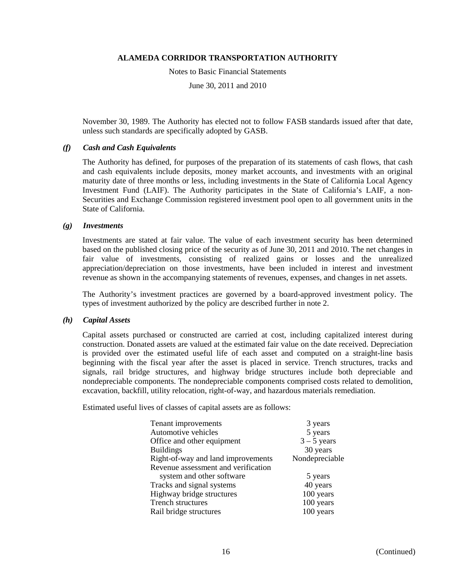Notes to Basic Financial Statements

June 30, 2011 and 2010

November 30, 1989. The Authority has elected not to follow FASB standards issued after that date, unless such standards are specifically adopted by GASB.

#### *(f) Cash and Cash Equivalents*

The Authority has defined, for purposes of the preparation of its statements of cash flows, that cash and cash equivalents include deposits, money market accounts, and investments with an original maturity date of three months or less, including investments in the State of California Local Agency Investment Fund (LAIF). The Authority participates in the State of California's LAIF, a non-Securities and Exchange Commission registered investment pool open to all government units in the State of California.

#### *(g) Investments*

Investments are stated at fair value. The value of each investment security has been determined based on the published closing price of the security as of June 30, 2011 and 2010. The net changes in fair value of investments, consisting of realized gains or losses and the unrealized appreciation/depreciation on those investments, have been included in interest and investment revenue as shown in the accompanying statements of revenues, expenses, and changes in net assets.

The Authority's investment practices are governed by a board-approved investment policy. The types of investment authorized by the policy are described further in note 2.

#### *(h) Capital Assets*

Capital assets purchased or constructed are carried at cost, including capitalized interest during construction. Donated assets are valued at the estimated fair value on the date received. Depreciation is provided over the estimated useful life of each asset and computed on a straight-line basis beginning with the fiscal year after the asset is placed in service. Trench structures, tracks and signals, rail bridge structures, and highway bridge structures include both depreciable and nondepreciable components. The nondepreciable components comprised costs related to demolition, excavation, backfill, utility relocation, right-of-way, and hazardous materials remediation.

Estimated useful lives of classes of capital assets are as follows:

| Tenant improvements                 | 3 years        |
|-------------------------------------|----------------|
| Automotive vehicles                 | 5 years        |
| Office and other equipment          | $3 - 5$ years  |
| <b>Buildings</b>                    | 30 years       |
| Right-of-way and land improvements  | Nondepreciable |
| Revenue assessment and verification |                |
| system and other software           | 5 years        |
| Tracks and signal systems           | 40 years       |
| Highway bridge structures           | 100 years      |
| Trench structures                   | 100 years      |
| Rail bridge structures              | 100 years      |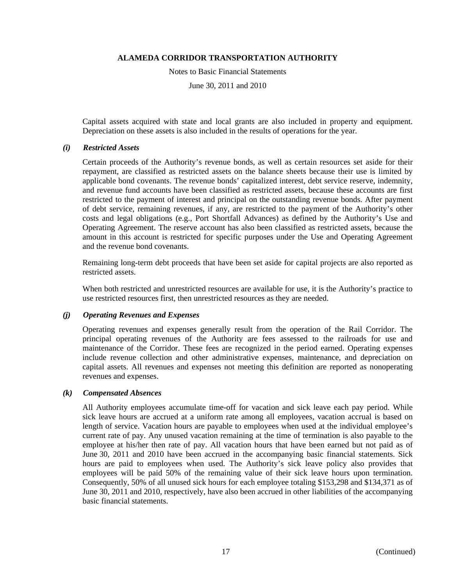Notes to Basic Financial Statements

June 30, 2011 and 2010

Capital assets acquired with state and local grants are also included in property and equipment. Depreciation on these assets is also included in the results of operations for the year.

#### *(i) Restricted Assets*

Certain proceeds of the Authority's revenue bonds, as well as certain resources set aside for their repayment, are classified as restricted assets on the balance sheets because their use is limited by applicable bond covenants. The revenue bonds' capitalized interest, debt service reserve, indemnity, and revenue fund accounts have been classified as restricted assets, because these accounts are first restricted to the payment of interest and principal on the outstanding revenue bonds. After payment of debt service, remaining revenues, if any, are restricted to the payment of the Authority's other costs and legal obligations (e.g., Port Shortfall Advances) as defined by the Authority's Use and Operating Agreement. The reserve account has also been classified as restricted assets, because the amount in this account is restricted for specific purposes under the Use and Operating Agreement and the revenue bond covenants.

Remaining long-term debt proceeds that have been set aside for capital projects are also reported as restricted assets.

When both restricted and unrestricted resources are available for use, it is the Authority's practice to use restricted resources first, then unrestricted resources as they are needed.

#### *(j) Operating Revenues and Expenses*

Operating revenues and expenses generally result from the operation of the Rail Corridor. The principal operating revenues of the Authority are fees assessed to the railroads for use and maintenance of the Corridor. These fees are recognized in the period earned. Operating expenses include revenue collection and other administrative expenses, maintenance, and depreciation on capital assets. All revenues and expenses not meeting this definition are reported as nonoperating revenues and expenses.

#### *(k) Compensated Absences*

All Authority employees accumulate time-off for vacation and sick leave each pay period. While sick leave hours are accrued at a uniform rate among all employees, vacation accrual is based on length of service. Vacation hours are payable to employees when used at the individual employee's current rate of pay. Any unused vacation remaining at the time of termination is also payable to the employee at his/her then rate of pay. All vacation hours that have been earned but not paid as of June 30, 2011 and 2010 have been accrued in the accompanying basic financial statements. Sick hours are paid to employees when used. The Authority's sick leave policy also provides that employees will be paid 50% of the remaining value of their sick leave hours upon termination. Consequently, 50% of all unused sick hours for each employee totaling \$153,298 and \$134,371 as of June 30, 2011 and 2010, respectively, have also been accrued in other liabilities of the accompanying basic financial statements.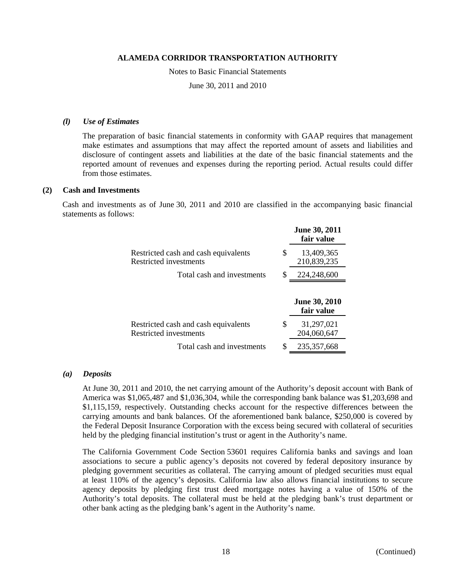Notes to Basic Financial Statements

June 30, 2011 and 2010

#### *(l) Use of Estimates*

The preparation of basic financial statements in conformity with GAAP requires that management make estimates and assumptions that may affect the reported amount of assets and liabilities and disclosure of contingent assets and liabilities at the date of the basic financial statements and the reported amount of revenues and expenses during the reporting period. Actual results could differ from those estimates.

#### **(2) Cash and Investments**

Cash and investments as of June 30, 2011 and 2010 are classified in the accompanying basic financial statements as follows:

|                                                                |   | June 30, 2011<br>fair value        |
|----------------------------------------------------------------|---|------------------------------------|
| Restricted cash and cash equivalents<br>Restricted investments | S | 13,409,365<br>210,839,235          |
| Total cash and investments                                     |   | 224,248,600                        |
|                                                                |   | <b>June 30, 2010</b><br>fair value |
| Restricted cash and cash equivalents<br>Restricted investments | S | 31,297,021<br>204,060,647          |
|                                                                |   |                                    |

### *(a) Deposits*

At June 30, 2011 and 2010, the net carrying amount of the Authority's deposit account with Bank of America was \$1,065,487 and \$1,036,304, while the corresponding bank balance was \$1,203,698 and \$1,115,159, respectively. Outstanding checks account for the respective differences between the carrying amounts and bank balances. Of the aforementioned bank balance, \$250,000 is covered by the Federal Deposit Insurance Corporation with the excess being secured with collateral of securities held by the pledging financial institution's trust or agent in the Authority's name.

The California Government Code Section 53601 requires California banks and savings and loan associations to secure a public agency's deposits not covered by federal depository insurance by pledging government securities as collateral. The carrying amount of pledged securities must equal at least 110% of the agency's deposits. California law also allows financial institutions to secure agency deposits by pledging first trust deed mortgage notes having a value of 150% of the Authority's total deposits. The collateral must be held at the pledging bank's trust department or other bank acting as the pledging bank's agent in the Authority's name.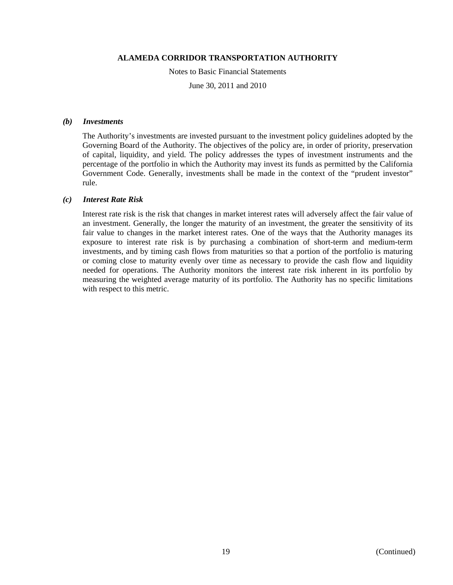Notes to Basic Financial Statements

June 30, 2011 and 2010

#### *(b) Investments*

The Authority's investments are invested pursuant to the investment policy guidelines adopted by the Governing Board of the Authority. The objectives of the policy are, in order of priority, preservation of capital, liquidity, and yield. The policy addresses the types of investment instruments and the percentage of the portfolio in which the Authority may invest its funds as permitted by the California Government Code. Generally, investments shall be made in the context of the "prudent investor" rule.

#### *(c) Interest Rate Risk*

Interest rate risk is the risk that changes in market interest rates will adversely affect the fair value of an investment. Generally, the longer the maturity of an investment, the greater the sensitivity of its fair value to changes in the market interest rates. One of the ways that the Authority manages its exposure to interest rate risk is by purchasing a combination of short-term and medium-term investments, and by timing cash flows from maturities so that a portion of the portfolio is maturing or coming close to maturity evenly over time as necessary to provide the cash flow and liquidity needed for operations. The Authority monitors the interest rate risk inherent in its portfolio by measuring the weighted average maturity of its portfolio. The Authority has no specific limitations with respect to this metric.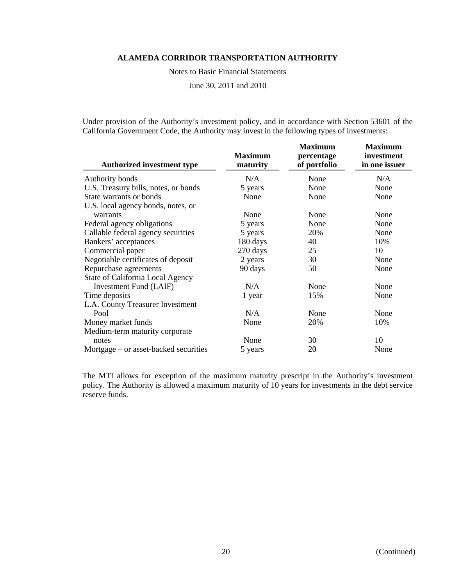Notes to Basic Financial Statements

June 30, 2011 and 2010

Under provision of the Authority's investment policy, and in accordance with Section 53601 of the California Government Code, the Authority may invest in the following types of investments:

| <b>Authorized investment type</b>     | <b>Maximum</b><br>maturity | <b>Maximum</b><br>percentage<br>of portfolio | <b>Maximum</b><br>investment<br>in one issuer |
|---------------------------------------|----------------------------|----------------------------------------------|-----------------------------------------------|
| Authority bonds                       | N/A                        | None                                         | N/A                                           |
| U.S. Treasury bills, notes, or bonds  | 5 years                    | None                                         | None                                          |
| State warrants or bonds               | None                       | None                                         | None                                          |
| U.S. local agency bonds, notes, or    |                            |                                              |                                               |
| warrants                              | None                       | None                                         | None                                          |
| Federal agency obligations            | 5 years                    | None                                         | None                                          |
| Callable federal agency securities    | 5 years                    | 20%                                          | None                                          |
| Bankers' acceptances                  | 180 days                   | 40                                           | 10%                                           |
| Commercial paper                      | 270 days                   | 25                                           | 10                                            |
| Negotiable certificates of deposit    | 2 years                    | 30                                           | None                                          |
| Repurchase agreements                 | 90 days                    | 50                                           | None                                          |
| State of California Local Agency      |                            |                                              |                                               |
| Investment Fund (LAIF)                | N/A                        | None                                         | None                                          |
| Time deposits                         | 1 year                     | 15%                                          | None                                          |
| L.A. County Treasurer Investment      |                            |                                              |                                               |
| Pool                                  | N/A                        | None                                         | None                                          |
| Money market funds                    | None                       | 20%                                          | 10%                                           |
| Medium-term maturity corporate        |                            |                                              |                                               |
| notes                                 | None                       | 30                                           | 10                                            |
| Mortgage – or asset-backed securities | 5 years                    | 20                                           | None                                          |

The MTI allows for exception of the maximum maturity prescript in the Authority's investment policy. The Authority is allowed a maximum maturity of 10 years for investments in the debt service reserve funds.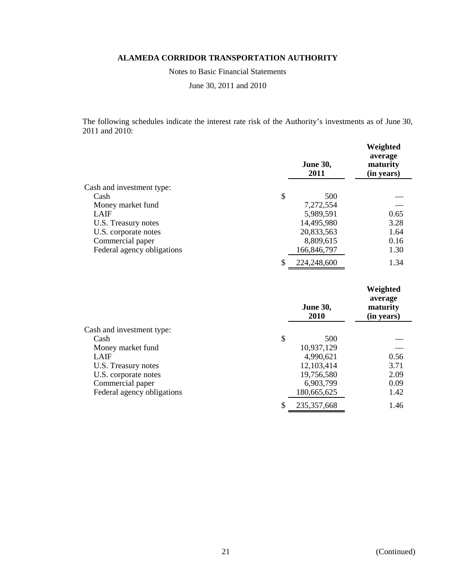Notes to Basic Financial Statements

June 30, 2011 and 2010

The following schedules indicate the interest rate risk of the Authority's investments as of June 30, 2011 and 2010:

|                            | <b>June 30,</b><br>2011     | Weighted<br>average<br>maturity<br>(in years) |
|----------------------------|-----------------------------|-----------------------------------------------|
| Cash and investment type:  |                             |                                               |
| Cash                       | \$<br>500                   |                                               |
| Money market fund          | 7,272,554                   |                                               |
| LAIF                       | 5,989,591                   | 0.65                                          |
| U.S. Treasury notes        | 14,495,980                  | 3.28                                          |
| U.S. corporate notes       | 20,833,563                  | 1.64                                          |
| Commercial paper           | 8,809,615                   | 0.16                                          |
| Federal agency obligations | 166,846,797                 | 1.30                                          |
|                            | $\mathbb{S}$<br>224,248,600 | 1.34                                          |
|                            | <b>June 30,</b><br>2010     | Weighted<br>average<br>maturity<br>(in years) |
| Cash and investment tyne:  |                             |                                               |

| Cash and investment type:  |               |      |
|----------------------------|---------------|------|
| Cash                       | \$<br>500     |      |
| Money market fund          | 10,937,129    |      |
| LAIF                       | 4,990,621     | 0.56 |
| U.S. Treasury notes        | 12,103,414    | 3.71 |
| U.S. corporate notes       | 19,756,580    | 2.09 |
| Commercial paper           | 6,903,799     | 0.09 |
| Federal agency obligations | 180,665,625   | 1.42 |
|                            | 235, 357, 668 | 1.46 |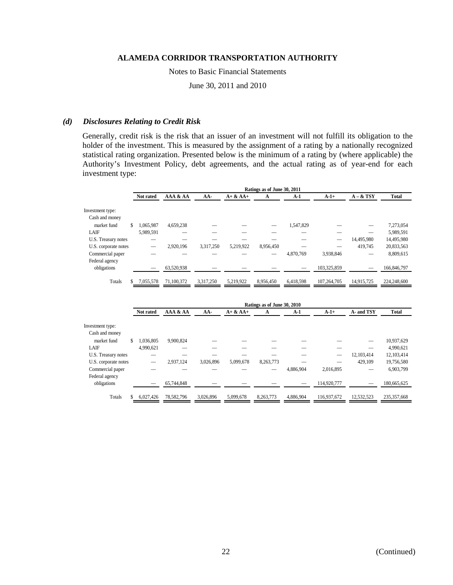Notes to Basic Financial Statements

June 30, 2011 and 2010

#### *(d) Disclosures Relating to Credit Risk*

Generally, credit risk is the risk that an issuer of an investment will not fulfill its obligation to the holder of the investment. This is measured by the assignment of a rating by a nationally recognized statistical rating organization. Presented below is the minimum of a rating by (where applicable) the Authority's Investment Policy, debt agreements, and the actual rating as of year-end for each investment type:

|                                    |           |            |           |              | Ratings as of June 30, 2011 |           |             |             |              |
|------------------------------------|-----------|------------|-----------|--------------|-----------------------------|-----------|-------------|-------------|--------------|
|                                    | Not rated | AAA & AA   | AA-       | $A + \& A +$ | A                           | $A-1$     | $A-1+$      | $A - &$ TSY | <b>Total</b> |
| Investment type:<br>Cash and money |           |            |           |              |                             |           |             |             |              |
| market fund<br>S                   | 1,065,987 | 4,659,238  |           |              |                             | 1,547,829 |             |             | 7,273,054    |
| LAIF                               | 5,989,591 |            |           |              |                             |           |             |             | 5,989,591    |
| U.S. Treasury notes                |           |            |           |              |                             |           |             | 14,495,980  | 14,495,980   |
| U.S. corporate notes               |           | 2,920,196  | 3,317,250 | 5,219,922    | 8,956,450                   |           |             | 419,745     | 20,833,563   |
| Commercial paper                   |           |            |           |              |                             | 4,870,769 | 3,938,846   |             | 8,809,615    |
| Federal agency                     |           |            |           |              |                             |           |             |             |              |
| obligations                        |           | 63,520,938 |           |              |                             |           | 103,325,859 |             | 166,846,797  |
| Totals<br>S                        | 7,055,578 | 71,100,372 | 3,317,250 | 5,219,922    | 8,956,450                   | 6,418,598 | 107,264,705 | 14,915,725  | 224,248,600  |
|                                    |           |            |           |              | Ratings as of June 30, 2010 |           |             |             |              |
|                                    | Not rated | AAA & AA   | AA-       | $A + \& A +$ | A                           | $A-1$     | $A-1+$      | A- and TSY  | <b>Total</b> |
| Investment type:<br>Cash and money |           |            |           |              |                             |           |             |             |              |
| market fund<br>S.                  | 1,036,805 | 9,900,824  |           |              |                             |           |             |             | 10,937,629   |
| LAIF                               | 4,990,621 |            |           |              |                             |           |             |             | 4,990,621    |
| U.S. Treasury notes                |           |            |           |              |                             |           |             | 12.103.414  | 12,103,414   |
| U.S. corporate notes               |           | 2,937,124  | 3,026,896 | 5,099,678    | 8,263,773                   |           |             | 429,109     | 19,756,580   |
| Commercial paper                   |           |            |           |              |                             | 4,886,904 | 2,016,895   |             | 6,903,799    |
| Federal agency<br>obligations      |           | 65,744,848 |           |              |                             |           | 114,920,777 |             | 180,665,625  |
| Totals                             | 6,027,426 | 78.582.796 | 3.026.896 | 5.099.678    | 8.263.773                   | 4.886.904 | 116,937,672 | 12.532.523  | 235,357,668  |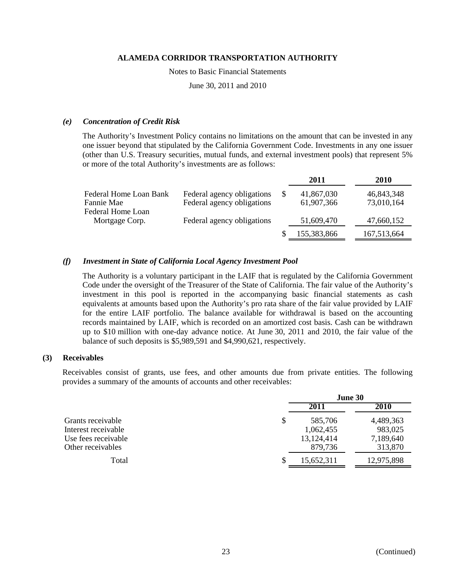Notes to Basic Financial Statements

June 30, 2011 and 2010

#### *(e) Concentration of Credit Risk*

The Authority's Investment Policy contains no limitations on the amount that can be invested in any one issuer beyond that stipulated by the California Government Code. Investments in any one issuer (other than U.S. Treasury securities, mutual funds, and external investment pools) that represent 5% or more of the total Authority's investments are as follows:

|                                     |                            |    | 2011        | 2010        |
|-------------------------------------|----------------------------|----|-------------|-------------|
| Federal Home Loan Bank              | Federal agency obligations | S. | 41,867,030  | 46,843,348  |
| Fannie Mae                          | Federal agency obligations |    | 61,907,366  | 73,010,164  |
| Federal Home Loan<br>Mortgage Corp. | Federal agency obligations |    | 51,609,470  | 47,660,152  |
|                                     |                            |    |             |             |
|                                     |                            |    | 155,383,866 | 167,513,664 |

#### *(f) Investment in State of California Local Agency Investment Pool*

The Authority is a voluntary participant in the LAIF that is regulated by the California Government Code under the oversight of the Treasurer of the State of California. The fair value of the Authority's investment in this pool is reported in the accompanying basic financial statements as cash equivalents at amounts based upon the Authority's pro rata share of the fair value provided by LAIF for the entire LAIF portfolio. The balance available for withdrawal is based on the accounting records maintained by LAIF, which is recorded on an amortized cost basis. Cash can be withdrawn up to \$10 million with one-day advance notice. At June 30, 2011 and 2010, the fair value of the balance of such deposits is \$5,989,591 and \$4,990,621, respectively.

### **(3) Receivables**

Receivables consist of grants, use fees, and other amounts due from private entities. The following provides a summary of the amounts of accounts and other receivables:

| June 30       |            |  |  |
|---------------|------------|--|--|
| 2011          | 2010       |  |  |
| \$<br>585,706 | 4,489,363  |  |  |
| 1,062,455     | 983,025    |  |  |
| 13,124,414    | 7,189,640  |  |  |
| 879,736       | 313,870    |  |  |
| 15,652,311    | 12,975,898 |  |  |
|               |            |  |  |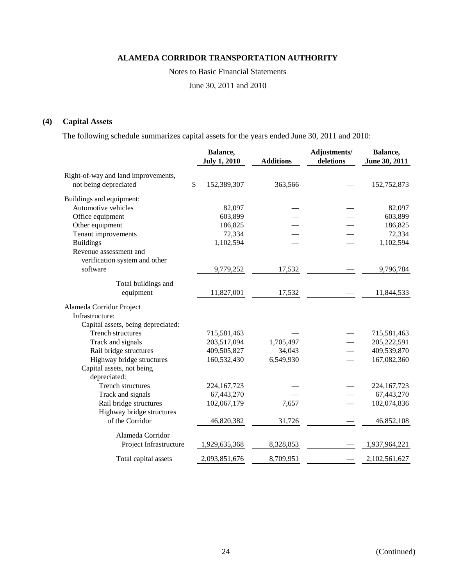Notes to Basic Financial Statements

June 30, 2011 and 2010

## **(4) Capital Assets**

The following schedule summarizes capital assets for the years ended June 30, 2011 and 2010:

|                                           |              | Balance,<br><b>July 1, 2010</b> | <b>Additions</b> | Adjustments/<br>deletions | Balance,<br>June 30, 2011 |
|-------------------------------------------|--------------|---------------------------------|------------------|---------------------------|---------------------------|
| Right-of-way and land improvements,       |              |                                 |                  |                           |                           |
| not being depreciated                     | $\mathbb{S}$ | 152,389,307                     | 363,566          |                           | 152,752,873               |
| Buildings and equipment:                  |              |                                 |                  |                           |                           |
| Automotive vehicles                       |              | 82,097                          |                  |                           | 82,097                    |
| Office equipment                          |              | 603,899                         |                  |                           | 603,899                   |
| Other equipment                           |              | 186,825                         |                  |                           | 186,825                   |
| Tenant improvements                       |              | 72,334                          |                  |                           | 72,334                    |
| <b>Buildings</b>                          |              | 1,102,594                       |                  |                           | 1,102,594                 |
| Revenue assessment and                    |              |                                 |                  |                           |                           |
| verification system and other             |              |                                 |                  |                           |                           |
| software                                  |              | 9,779,252                       | 17,532           |                           | 9,796,784                 |
| Total buildings and                       |              |                                 |                  |                           |                           |
| equipment                                 |              | 11,827,001                      | 17,532           |                           | 11,844,533                |
| Alameda Corridor Project                  |              |                                 |                  |                           |                           |
| Infrastructure:                           |              |                                 |                  |                           |                           |
| Capital assets, being depreciated:        |              |                                 |                  |                           |                           |
| <b>Trench structures</b>                  |              | 715,581,463                     |                  |                           | 715,581,463               |
| Track and signals                         |              | 203,517,094                     | 1,705,497        |                           | 205,222,591               |
| Rail bridge structures                    |              | 409,505,827                     | 34,043           |                           | 409,539,870               |
| Highway bridge structures                 |              | 160,532,430                     | 6,549,930        |                           | 167,082,360               |
| Capital assets, not being<br>depreciated: |              |                                 |                  |                           |                           |
| Trench structures                         |              | 224, 167, 723                   |                  |                           | 224, 167, 723             |
| Track and signals                         |              | 67,443,270                      |                  |                           | 67,443,270                |
| Rail bridge structures                    |              | 102,067,179                     | 7,657            |                           | 102,074,836               |
| Highway bridge structures                 |              |                                 |                  |                           |                           |
| of the Corridor                           |              | 46,820,382                      | 31,726           |                           | 46,852,108                |
| Alameda Corridor                          |              |                                 |                  |                           |                           |
| Project Infrastructure                    |              | 1,929,635,368                   | 8,328,853        |                           | 1,937,964,221             |
| Total capital assets                      |              | 2,093,851,676                   | 8,709,951        |                           | 2,102,561,627             |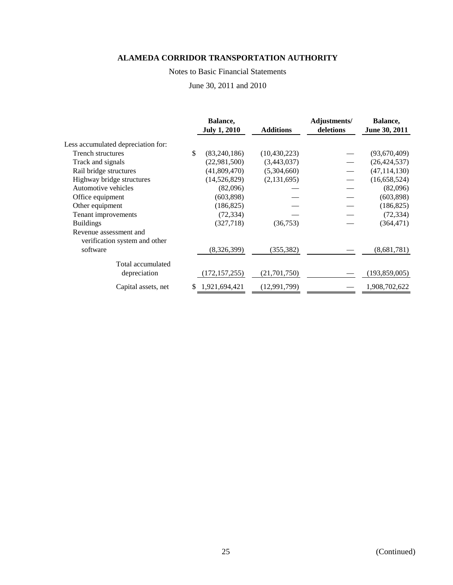### Notes to Basic Financial Statements

June 30, 2011 and 2010

|                                    | Balance,            |                  | Adjustments/ | Balance,        |
|------------------------------------|---------------------|------------------|--------------|-----------------|
|                                    | <b>July 1, 2010</b> | <b>Additions</b> | deletions    | June 30, 2011   |
| Less accumulated depreciation for: |                     |                  |              |                 |
| <b>Trench structures</b>           | \$<br>(83,240,186)  | (10, 430, 223)   |              | (93,670,409)    |
| Track and signals                  | (22, 981, 500)      | (3,443,037)      |              | (26, 424, 537)  |
| Rail bridge structures             | (41,809,470)        | (5,304,660)      |              | (47, 114, 130)  |
| Highway bridge structures          | (14, 526, 829)      | (2, 131, 695)    |              | (16,658,524)    |
| Automotive vehicles                | (82,096)            |                  |              | (82,096)        |
| Office equipment                   | (603, 898)          |                  |              | (603, 898)      |
| Other equipment                    | (186, 825)          |                  |              | (186, 825)      |
| Tenant improvements                | (72, 334)           |                  |              | (72, 334)       |
| <b>Buildings</b>                   | (327, 718)          | (36,753)         |              | (364, 471)      |
| Revenue assessment and             |                     |                  |              |                 |
| verification system and other      |                     |                  |              |                 |
| software                           | (8,326,399)         | (355, 382)       |              | (8,681,781)     |
| Total accumulated                  |                     |                  |              |                 |
| depreciation                       | (172, 157, 255)     | (21, 701, 750)   |              | (193, 859, 005) |
| Capital assets, net                | 1,921,694,421       | (12, 991, 799)   |              | 1,908,702,622   |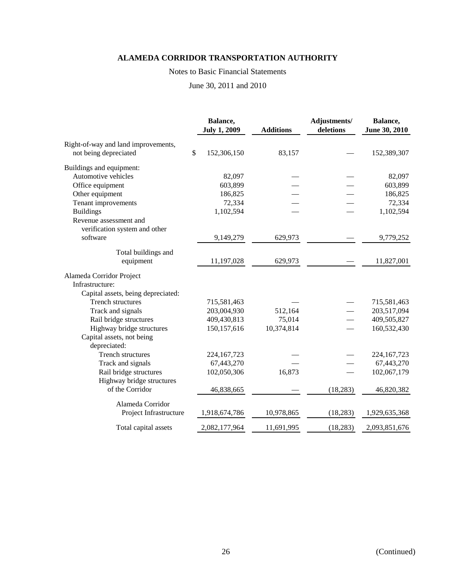### Notes to Basic Financial Statements

June 30, 2011 and 2010

|                                     |              | Balance,<br><b>July 1, 2009</b> | <b>Additions</b> | Adjustments/<br>deletions | Balance,<br>June 30, 2010 |
|-------------------------------------|--------------|---------------------------------|------------------|---------------------------|---------------------------|
| Right-of-way and land improvements, |              |                                 |                  |                           |                           |
| not being depreciated               | $\mathbb{S}$ | 152,306,150                     | 83,157           |                           | 152,389,307               |
| Buildings and equipment:            |              |                                 |                  |                           |                           |
| Automotive vehicles                 |              | 82,097                          |                  |                           | 82,097                    |
| Office equipment                    |              | 603,899                         |                  |                           | 603,899                   |
| Other equipment                     |              | 186,825                         |                  |                           | 186,825                   |
| Tenant improvements                 |              | 72,334                          |                  |                           | 72,334                    |
| <b>Buildings</b>                    |              | 1,102,594                       |                  |                           | 1,102,594                 |
| Revenue assessment and              |              |                                 |                  |                           |                           |
| verification system and other       |              |                                 |                  |                           |                           |
| software                            |              | 9,149,279                       | 629,973          |                           | 9,779,252                 |
| Total buildings and                 |              |                                 |                  |                           |                           |
| equipment                           |              | 11,197,028                      | 629,973          |                           | 11,827,001                |
|                                     |              |                                 |                  |                           |                           |
| Alameda Corridor Project            |              |                                 |                  |                           |                           |
| Infrastructure:                     |              |                                 |                  |                           |                           |
| Capital assets, being depreciated:  |              |                                 |                  |                           |                           |
| Trench structures                   |              | 715,581,463                     |                  |                           | 715,581,463               |
| Track and signals                   |              | 203,004,930                     | 512,164          |                           | 203,517,094               |
| Rail bridge structures              |              | 409,430,813                     | 75,014           |                           | 409,505,827               |
| Highway bridge structures           |              | 150, 157, 616                   | 10,374,814       |                           | 160,532,430               |
| Capital assets, not being           |              |                                 |                  |                           |                           |
| depreciated:                        |              |                                 |                  |                           |                           |
| <b>Trench structures</b>            |              | 224, 167, 723                   |                  |                           | 224, 167, 723             |
| Track and signals                   |              | 67,443,270                      |                  |                           | 67,443,270                |
| Rail bridge structures              |              | 102,050,306                     | 16,873           |                           | 102,067,179               |
| Highway bridge structures           |              |                                 |                  |                           |                           |
| of the Corridor                     |              | 46,838,665                      |                  | (18, 283)                 | 46,820,382                |
| Alameda Corridor                    |              |                                 |                  |                           |                           |
| Project Infrastructure              |              | 1,918,674,786                   | 10,978,865       | (18, 283)                 | 1,929,635,368             |
| Total capital assets                |              | 2,082,177,964                   | 11,691,995       | (18, 283)                 | 2,093,851,676             |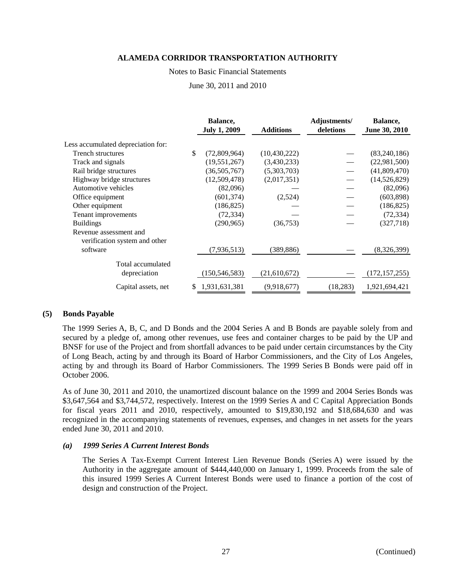#### Notes to Basic Financial Statements

June 30, 2011 and 2010

|                                    | Balance,            |                  | Adjustments/ | Balance,        |
|------------------------------------|---------------------|------------------|--------------|-----------------|
|                                    | <b>July 1, 2009</b> | <b>Additions</b> | deletions    | June 30, 2010   |
| Less accumulated depreciation for: |                     |                  |              |                 |
| <b>Trench structures</b>           | \$<br>(72,809,964)  | (10, 430, 222)   |              | (83,240,186)    |
| Track and signals                  | (19, 551, 267)      | (3,430,233)      |              | (22,981,500)    |
| Rail bridge structures             | (36,505,767)        | (5,303,703)      |              | (41,809,470)    |
| Highway bridge structures          | (12,509,478)        | (2,017,351)      |              | (14,526,829)    |
| Automotive vehicles                | (82,096)            |                  |              | (82,096)        |
| Office equipment                   | (601, 374)          | (2,524)          |              | (603, 898)      |
| Other equipment                    | (186, 825)          |                  |              | (186, 825)      |
| Tenant improvements                | (72, 334)           |                  |              | (72, 334)       |
| <b>Buildings</b>                   | (290, 965)          | (36,753)         |              | (327,718)       |
| Revenue assessment and             |                     |                  |              |                 |
| verification system and other      |                     |                  |              |                 |
| software                           | (7,936,513)         | (389,886)        |              | (8,326,399)     |
| Total accumulated                  |                     |                  |              |                 |
| depreciation                       | 150,546,583)        | (21,610,672)     |              | (172, 157, 255) |
| Capital assets, net                | 1,931,631,381       | (9,918,677)      | (18, 283)    | 1,921,694,421   |

#### **(5) Bonds Payable**

The 1999 Series A, B, C, and D Bonds and the 2004 Series A and B Bonds are payable solely from and secured by a pledge of, among other revenues, use fees and container charges to be paid by the UP and BNSF for use of the Project and from shortfall advances to be paid under certain circumstances by the City of Long Beach, acting by and through its Board of Harbor Commissioners, and the City of Los Angeles, acting by and through its Board of Harbor Commissioners. The 1999 Series B Bonds were paid off in October 2006.

As of June 30, 2011 and 2010, the unamortized discount balance on the 1999 and 2004 Series Bonds was \$3,647,564 and \$3,744,572, respectively. Interest on the 1999 Series A and C Capital Appreciation Bonds for fiscal years 2011 and 2010, respectively, amounted to \$19,830,192 and \$18,684,630 and was recognized in the accompanying statements of revenues, expenses, and changes in net assets for the years ended June 30, 2011 and 2010.

#### *(a) 1999 Series A Current Interest Bonds*

The Series A Tax-Exempt Current Interest Lien Revenue Bonds (Series A) were issued by the Authority in the aggregate amount of \$444,440,000 on January 1, 1999. Proceeds from the sale of this insured 1999 Series A Current Interest Bonds were used to finance a portion of the cost of design and construction of the Project.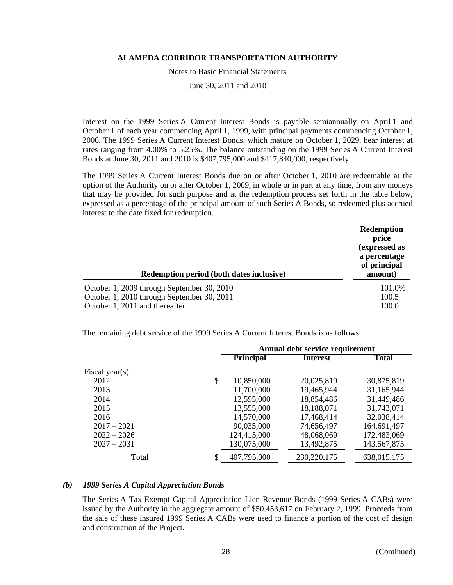Notes to Basic Financial Statements

June 30, 2011 and 2010

Interest on the 1999 Series A Current Interest Bonds is payable semiannually on April 1 and October 1 of each year commencing April 1, 1999, with principal payments commencing October 1, 2006. The 1999 Series A Current Interest Bonds, which mature on October 1, 2029, bear interest at rates ranging from 4.00% to 5.25%. The balance outstanding on the 1999 Series A Current Interest Bonds at June 30, 2011 and 2010 is \$407,795,000 and \$417,840,000, respectively.

The 1999 Series A Current Interest Bonds due on or after October 1, 2010 are redeemable at the option of the Authority on or after October 1, 2009, in whole or in part at any time, from any moneys that may be provided for such purpose and at the redemption process set forth in the table below, expressed as a percentage of the principal amount of such Series A Bonds, so redeemed plus accrued interest to the date fixed for redemption.

| Redemption period (both dates inclusive)   | <b>Redemption</b><br>price<br>(expressed as<br>a percentage<br>of principal<br>amount) |
|--------------------------------------------|----------------------------------------------------------------------------------------|
| October 1, 2009 through September 30, 2010 | 101.0%                                                                                 |
| October 1, 2010 through September 30, 2011 | 100.5                                                                                  |
| October 1, 2011 and thereafter             | 100.0                                                                                  |

The remaining debt service of the 1999 Series A Current Interest Bonds is as follows:

|                 | Annual debt service requirement |                 |              |  |
|-----------------|---------------------------------|-----------------|--------------|--|
|                 | <b>Principal</b>                | <b>Interest</b> | <b>Total</b> |  |
| Fiscal year(s): |                                 |                 |              |  |
| 2012            | \$<br>10,850,000                | 20,025,819      | 30,875,819   |  |
| 2013            | 11,700,000                      | 19,465,944      | 31,165,944   |  |
| 2014            | 12,595,000                      | 18,854,486      | 31,449,486   |  |
| 2015            | 13,555,000                      | 18,188,071      | 31,743,071   |  |
| 2016            | 14,570,000                      | 17,468,414      | 32,038,414   |  |
| $2017 - 2021$   | 90,035,000                      | 74,656,497      | 164,691,497  |  |
| $2022 - 2026$   | 124,415,000                     | 48,068,069      | 172,483,069  |  |
| $2027 - 2031$   | 130,075,000                     | 13,492,875      | 143,567,875  |  |
| Total           | \$<br>407,795,000               | 230, 220, 175   | 638,015,175  |  |

#### *(b) 1999 Series A Capital Appreciation Bonds*

The Series A Tax-Exempt Capital Appreciation Lien Revenue Bonds (1999 Series A CABs) were issued by the Authority in the aggregate amount of \$50,453,617 on February 2, 1999. Proceeds from the sale of these insured 1999 Series A CABs were used to finance a portion of the cost of design and construction of the Project.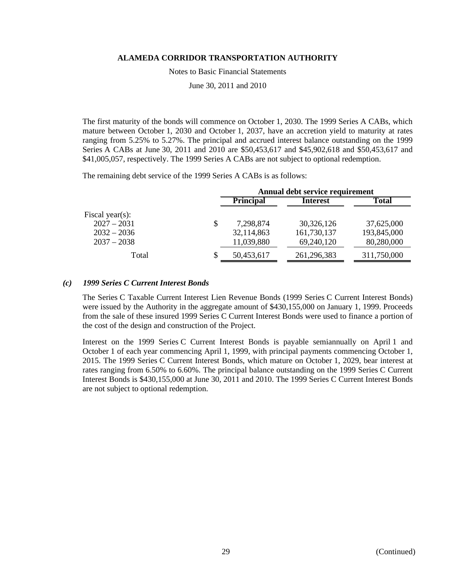Notes to Basic Financial Statements

June 30, 2011 and 2010

The first maturity of the bonds will commence on October 1, 2030. The 1999 Series A CABs, which mature between October 1, 2030 and October 1, 2037, have an accretion yield to maturity at rates ranging from 5.25% to 5.27%. The principal and accrued interest balance outstanding on the 1999 Series A CABs at June 30, 2011 and 2010 are \$50,453,617 and \$45,902,618 and \$50,453,617 and \$41,005,057, respectively. The 1999 Series A CABs are not subject to optional redemption.

The remaining debt service of the 1999 Series A CABs is as follows:

|                 |              | Annual debt service requirement |                 |              |  |
|-----------------|--------------|---------------------------------|-----------------|--------------|--|
|                 |              | <b>Principal</b>                | <b>Interest</b> | <b>Total</b> |  |
| Fiscal year(s): |              |                                 |                 |              |  |
| $2027 - 2031$   | $\mathbb{S}$ | 7,298,874                       | 30,326,126      | 37,625,000   |  |
| $2032 - 2036$   |              | 32,114,863                      | 161,730,137     | 193,845,000  |  |
| $2037 - 2038$   |              | 11,039,880                      | 69,240,120      | 80,280,000   |  |
| Total           | \$.          | 50,453,617                      | 261,296,383     | 311,750,000  |  |

#### *(c) 1999 Series C Current Interest Bonds*

The Series C Taxable Current Interest Lien Revenue Bonds (1999 Series C Current Interest Bonds) were issued by the Authority in the aggregate amount of \$430,155,000 on January 1, 1999. Proceeds from the sale of these insured 1999 Series C Current Interest Bonds were used to finance a portion of the cost of the design and construction of the Project.

Interest on the 1999 Series C Current Interest Bonds is payable semiannually on April 1 and October 1 of each year commencing April 1, 1999, with principal payments commencing October 1, 2015. The 1999 Series C Current Interest Bonds, which mature on October 1, 2029, bear interest at rates ranging from 6.50% to 6.60%. The principal balance outstanding on the 1999 Series C Current Interest Bonds is \$430,155,000 at June 30, 2011 and 2010. The 1999 Series C Current Interest Bonds are not subject to optional redemption.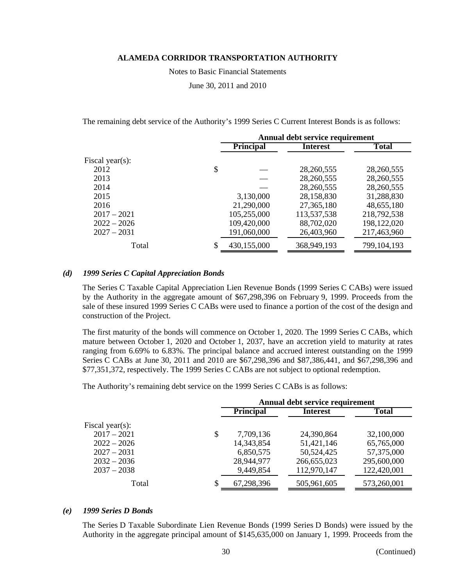Notes to Basic Financial Statements

June 30, 2011 and 2010

The remaining debt service of the Authority's 1999 Series C Current Interest Bonds is as follows:

|                 | Annual debt service requirement |             |             |  |  |
|-----------------|---------------------------------|-------------|-------------|--|--|
|                 | <b>Principal</b>                | Interest    | Total       |  |  |
| Fiscal year(s): |                                 |             |             |  |  |
| 2012            | \$                              | 28,260,555  | 28,260,555  |  |  |
| 2013            |                                 | 28,260,555  | 28,260,555  |  |  |
| 2014            |                                 | 28,260,555  | 28,260,555  |  |  |
| 2015            | 3,130,000                       | 28,158,830  | 31,288,830  |  |  |
| 2016            | 21,290,000                      | 27,365,180  | 48,655,180  |  |  |
| $2017 - 2021$   | 105,255,000                     | 113,537,538 | 218,792,538 |  |  |
| $2022 - 2026$   | 109,420,000                     | 88,702,020  | 198,122,020 |  |  |
| $2027 - 2031$   | 191,060,000                     | 26,403,960  | 217,463,960 |  |  |
| Total           | \$<br>430,155,000               | 368,949,193 | 799,104,193 |  |  |

#### *(d) 1999 Series C Capital Appreciation Bonds*

The Series C Taxable Capital Appreciation Lien Revenue Bonds (1999 Series C CABs) were issued by the Authority in the aggregate amount of \$67,298,396 on February 9, 1999. Proceeds from the sale of these insured 1999 Series C CABs were used to finance a portion of the cost of the design and construction of the Project.

The first maturity of the bonds will commence on October 1, 2020. The 1999 Series C CABs, which mature between October 1, 2020 and October 1, 2037, have an accretion yield to maturity at rates ranging from 6.69% to 6.83%. The principal balance and accrued interest outstanding on the 1999 Series C CABs at June 30, 2011 and 2010 are \$67,298,396 and \$87,386,441, and \$67,298,396 and \$77,351,372, respectively. The 1999 Series C CABs are not subject to optional redemption.

The Authority's remaining debt service on the 1999 Series C CABs is as follows:

|                 | Annual debt service requirement |                 |              |  |
|-----------------|---------------------------------|-----------------|--------------|--|
|                 | <b>Principal</b>                | <b>Interest</b> | <b>Total</b> |  |
| Fiscal year(s): |                                 |                 |              |  |
| $2017 - 2021$   | \$<br>7,709,136                 | 24,390,864      | 32,100,000   |  |
| $2022 - 2026$   | 14,343,854                      | 51,421,146      | 65,765,000   |  |
| $2027 - 2031$   | 6,850,575                       | 50,524,425      | 57,375,000   |  |
| $2032 - 2036$   | 28,944,977                      | 266,655,023     | 295,600,000  |  |
| $2037 - 2038$   | 9,449,854                       | 112,970,147     | 122,420,001  |  |
| Total           | \$<br>67,298,396                | 505,961,605     | 573,260,001  |  |

#### *(e) 1999 Series D Bonds*

The Series D Taxable Subordinate Lien Revenue Bonds (1999 Series D Bonds) were issued by the Authority in the aggregate principal amount of \$145,635,000 on January 1, 1999. Proceeds from the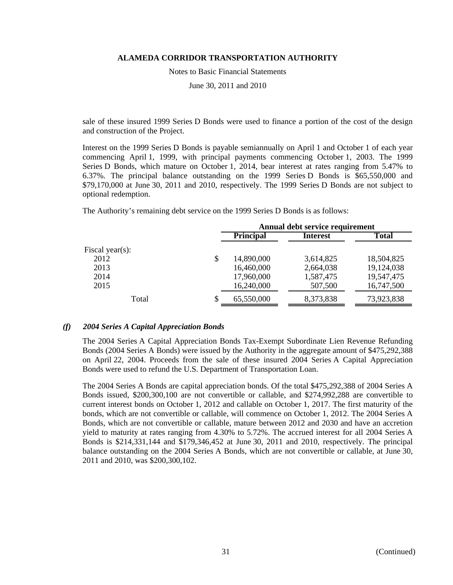Notes to Basic Financial Statements

June 30, 2011 and 2010

sale of these insured 1999 Series D Bonds were used to finance a portion of the cost of the design and construction of the Project.

Interest on the 1999 Series D Bonds is payable semiannually on April 1 and October 1 of each year commencing April 1, 1999, with principal payments commencing October 1, 2003. The 1999 Series D Bonds, which mature on October 1, 2014, bear interest at rates ranging from 5.47% to 6.37%. The principal balance outstanding on the 1999 Series D Bonds is \$65,550,000 and \$79,170,000 at June 30, 2011 and 2010, respectively. The 1999 Series D Bonds are not subject to optional redemption.

The Authority's remaining debt service on the 1999 Series D Bonds is as follows:

|                 | Annual debt service requirement |                 |              |  |
|-----------------|---------------------------------|-----------------|--------------|--|
|                 | <b>Principal</b>                | <b>Interest</b> | <b>Total</b> |  |
| Fiscal year(s): |                                 |                 |              |  |
| 2012            | \$<br>14,890,000                | 3,614,825       | 18,504,825   |  |
| 2013            | 16,460,000                      | 2,664,038       | 19,124,038   |  |
| 2014            | 17,960,000                      | 1,587,475       | 19,547,475   |  |
| 2015            | 16,240,000                      | 507,500         | 16,747,500   |  |
| Total           | \$<br>65,550,000                | 8,373,838       | 73,923,838   |  |

#### *(f) 2004 Series A Capital Appreciation Bonds*

The 2004 Series A Capital Appreciation Bonds Tax-Exempt Subordinate Lien Revenue Refunding Bonds (2004 Series A Bonds) were issued by the Authority in the aggregate amount of \$475,292,388 on April 22, 2004. Proceeds from the sale of these insured 2004 Series A Capital Appreciation Bonds were used to refund the U.S. Department of Transportation Loan.

The 2004 Series A Bonds are capital appreciation bonds. Of the total \$475,292,388 of 2004 Series A Bonds issued, \$200,300,100 are not convertible or callable, and \$274,992,288 are convertible to current interest bonds on October 1, 2012 and callable on October 1, 2017. The first maturity of the bonds, which are not convertible or callable, will commence on October 1, 2012. The 2004 Series A Bonds, which are not convertible or callable, mature between 2012 and 2030 and have an accretion yield to maturity at rates ranging from 4.30% to 5.72%. The accrued interest for all 2004 Series A Bonds is \$214,331,144 and \$179,346,452 at June 30, 2011 and 2010, respectively. The principal balance outstanding on the 2004 Series A Bonds, which are not convertible or callable, at June 30, 2011 and 2010, was \$200,300,102.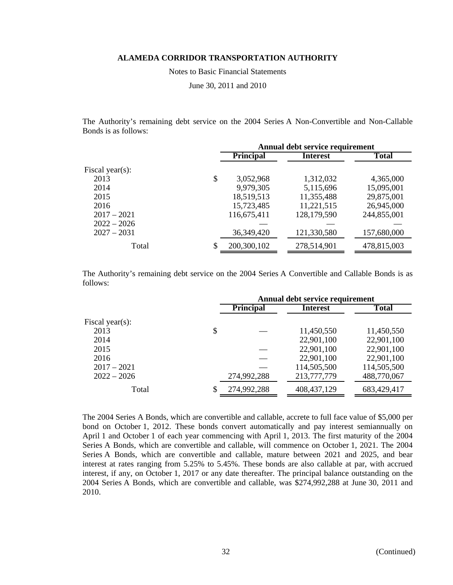Notes to Basic Financial Statements

June 30, 2011 and 2010

The Authority's remaining debt service on the 2004 Series A Non-Convertible and Non-Callable Bonds is as follows:

|                 | Annual debt service requirement |                 |              |  |
|-----------------|---------------------------------|-----------------|--------------|--|
|                 | <b>Principal</b>                | <b>Interest</b> | <b>Total</b> |  |
| Fiscal year(s): |                                 |                 |              |  |
| 2013            | \$<br>3,052,968                 | 1,312,032       | 4,365,000    |  |
| 2014            | 9,979,305                       | 5,115,696       | 15,095,001   |  |
| 2015            | 18,519,513                      | 11,355,488      | 29,875,001   |  |
| 2016            | 15,723,485                      | 11,221,515      | 26,945,000   |  |
| $2017 - 2021$   | 116,675,411                     | 128,179,590     | 244,855,001  |  |
| $2022 - 2026$   |                                 |                 |              |  |
| $2027 - 2031$   | 36,349,420                      | 121,330,580     | 157,680,000  |  |
| Total           | \$<br>200,300,102               | 278,514,901     | 478,815,003  |  |

The Authority's remaining debt service on the 2004 Series A Convertible and Callable Bonds is as follows:

| Annual debt service requirement |                 |             |  |
|---------------------------------|-----------------|-------------|--|
| <b>Principal</b>                | <b>Interest</b> | Total       |  |
|                                 |                 |             |  |
| \$                              | 11,450,550      | 11,450,550  |  |
|                                 | 22,901,100      | 22,901,100  |  |
|                                 | 22,901,100      | 22,901,100  |  |
|                                 | 22,901,100      | 22,901,100  |  |
|                                 | 114,505,500     | 114,505,500 |  |
| 274,992,288                     | 213,777,779     | 488,770,067 |  |
| 274,992,288                     | 408, 437, 129   | 683,429,417 |  |
|                                 |                 |             |  |

The 2004 Series A Bonds, which are convertible and callable, accrete to full face value of \$5,000 per bond on October 1, 2012. These bonds convert automatically and pay interest semiannually on April 1 and October 1 of each year commencing with April 1, 2013. The first maturity of the 2004 Series A Bonds, which are convertible and callable, will commence on October 1, 2021. The 2004 Series A Bonds, which are convertible and callable, mature between 2021 and 2025, and bear interest at rates ranging from 5.25% to 5.45%. These bonds are also callable at par, with accrued interest, if any, on October 1, 2017 or any date thereafter. The principal balance outstanding on the 2004 Series A Bonds, which are convertible and callable, was \$274,992,288 at June 30, 2011 and 2010.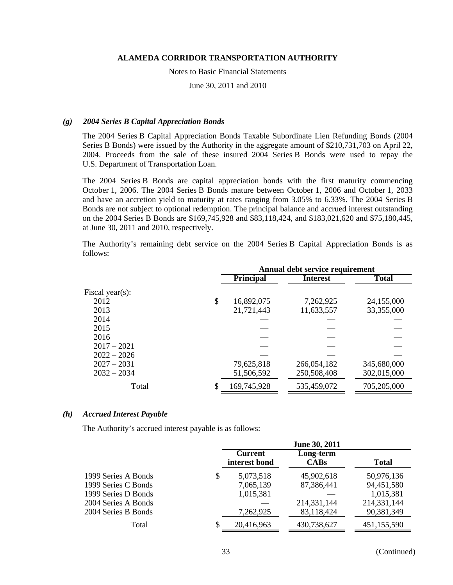Notes to Basic Financial Statements

June 30, 2011 and 2010

#### *(g) 2004 Series B Capital Appreciation Bonds*

The 2004 Series B Capital Appreciation Bonds Taxable Subordinate Lien Refunding Bonds (2004 Series B Bonds) were issued by the Authority in the aggregate amount of \$210,731,703 on April 22, 2004. Proceeds from the sale of these insured 2004 Series B Bonds were used to repay the U.S. Department of Transportation Loan.

The 2004 Series B Bonds are capital appreciation bonds with the first maturity commencing October 1, 2006. The 2004 Series B Bonds mature between October 1, 2006 and October 1, 2033 and have an accretion yield to maturity at rates ranging from 3.05% to 6.33%. The 2004 Series B Bonds are not subject to optional redemption. The principal balance and accrued interest outstanding on the 2004 Series B Bonds are \$169,745,928 and \$83,118,424, and \$183,021,620 and \$75,180,445, at June 30, 2011 and 2010, respectively.

The Authority's remaining debt service on the 2004 Series B Capital Appreciation Bonds is as follows:

|                 |    |                  | Annual debt service requirement |              |
|-----------------|----|------------------|---------------------------------|--------------|
|                 |    | <b>Principal</b> | <b>Interest</b>                 | <b>Total</b> |
| Fiscal year(s): |    |                  |                                 |              |
| 2012            | \$ | 16,892,075       | 7,262,925                       | 24,155,000   |
| 2013            |    | 21,721,443       | 11,633,557                      | 33,355,000   |
| 2014            |    |                  |                                 |              |
| 2015            |    |                  |                                 |              |
| 2016            |    |                  |                                 |              |
| $2017 - 2021$   |    |                  |                                 |              |
| $2022 - 2026$   |    |                  |                                 |              |
| $2027 - 2031$   |    | 79,625,818       | 266,054,182                     | 345,680,000  |
| $2032 - 2034$   |    | 51,506,592       | 250,508,408                     | 302,015,000  |
| Total           | \$ | 169,745,928      | 535,459,072                     | 705,205,000  |
|                 |    |                  |                                 |              |

#### *(h) Accrued Interest Payable*

The Authority's accrued interest payable is as follows:

|                           |                                 | June 30, 2011            |              |
|---------------------------|---------------------------------|--------------------------|--------------|
|                           | <b>Current</b><br>interest bond | Long-term<br><b>CABs</b> | <b>Total</b> |
| 1999 Series A Bonds<br>\$ | 5,073,518                       | 45,902,618               | 50,976,136   |
| 1999 Series C Bonds       | 7,065,139                       | 87,386,441               | 94,451,580   |
| 1999 Series D Bonds       | 1,015,381                       |                          | 1,015,381    |
| 2004 Series A Bonds       |                                 | 214,331,144              | 214,331,144  |
| 2004 Series B Bonds       | 7,262,925                       | 83,118,424               | 90,381,349   |
| Total<br>\$               | 20,416,963                      | 430,738,627              | 451,155,590  |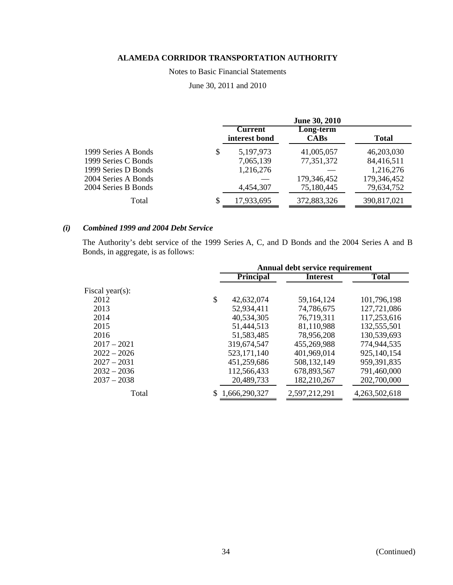Notes to Basic Financial Statements

June 30, 2011 and 2010

|                     | June 30, 2010                   |                          |              |  |  |
|---------------------|---------------------------------|--------------------------|--------------|--|--|
|                     | <b>Current</b><br>interest bond | Long-term<br><b>CABs</b> | <b>Total</b> |  |  |
| 1999 Series A Bonds | \$<br>5,197,973                 | 41,005,057               | 46,203,030   |  |  |
| 1999 Series C Bonds | 7,065,139                       | 77,351,372               | 84,416,511   |  |  |
| 1999 Series D Bonds | 1,216,276                       |                          | 1,216,276    |  |  |
| 2004 Series A Bonds |                                 | 179,346,452              | 179,346,452  |  |  |
| 2004 Series B Bonds | 4,454,307                       | 75,180,445               | 79,634,752   |  |  |
| Total               | \$<br>17,933,695                | 372,883,326              | 390,817,021  |  |  |

### *(i) Combined 1999 and 2004 Debt Service*

The Authority's debt service of the 1999 Series A, C, and D Bonds and the 2004 Series A and B Bonds, in aggregate, is as follows:

|                 | Annual debt service requirement |                  |                 |               |
|-----------------|---------------------------------|------------------|-----------------|---------------|
|                 |                                 | <b>Principal</b> | <b>Interest</b> | <b>Total</b>  |
| Fiscal year(s): |                                 |                  |                 |               |
| 2012            | \$                              | 42,632,074       | 59, 164, 124    | 101,796,198   |
| 2013            |                                 | 52,934,411       | 74,786,675      | 127,721,086   |
| 2014            |                                 | 40,534,305       | 76,719,311      | 117,253,616   |
| 2015            |                                 | 51,444,513       | 81,110,988      | 132,555,501   |
| 2016            |                                 | 51, 583, 485     | 78,956,208      | 130,539,693   |
| $2017 - 2021$   |                                 | 319,674,547      | 455,269,988     | 774,944,535   |
| $2022 - 2026$   |                                 | 523, 171, 140    | 401,969,014     | 925,140,154   |
| $2027 - 2031$   |                                 | 451,259,686      | 508, 132, 149   | 959, 391, 835 |
| $2032 - 2036$   |                                 | 112,566,433      | 678,893,567     | 791,460,000   |
| $2037 - 2038$   |                                 | 20,489,733       | 182,210,267     | 202,700,000   |
| Total           |                                 | 1,666,290,327    | 2,597,212,291   | 4,263,502,618 |
|                 |                                 |                  |                 |               |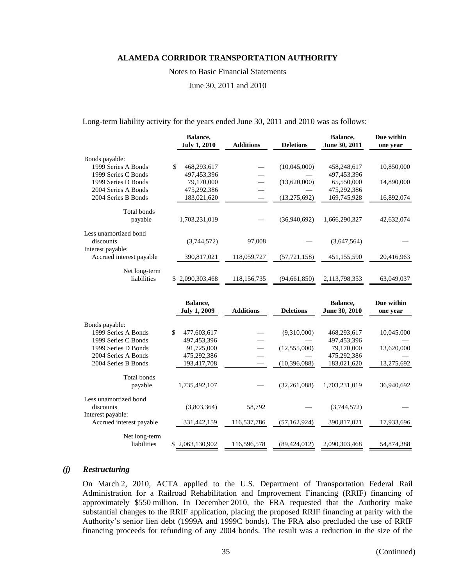Notes to Basic Financial Statements

June 30, 2011 and 2010

Long-term liability activity for the years ended June 30, 2011 and 2010 was as follows:

|                                               | Balance,<br><b>July 1, 2010</b> | <b>Additions</b> | <b>Deletions</b> | Balance,<br>June 30, 2011 | Due within<br>one year |
|-----------------------------------------------|---------------------------------|------------------|------------------|---------------------------|------------------------|
| Bonds payable:                                |                                 |                  |                  |                           |                        |
| 1999 Series A Bonds                           | \$<br>468,293,617               |                  | (10,045,000)     | 458,248,617               | 10,850,000             |
| 1999 Series C Bonds                           | 497,453,396                     |                  |                  | 497,453,396               |                        |
| 1999 Series D Bonds                           | 79,170,000                      |                  | (13,620,000)     | 65,550,000                | 14,890,000             |
| 2004 Series A Bonds                           | 475,292,386                     |                  |                  | 475,292,386               |                        |
| 2004 Series B Bonds                           | 183,021,620                     |                  | (13, 275, 692)   | 169,745,928               | 16,892,074             |
| Total bonds<br>payable                        | 1,703,231,019                   |                  | (36,940,692)     | 1,666,290,327             | 42,632,074             |
| Less unamortized bond<br>discounts            | (3,744,572)                     | 97,008           |                  | (3,647,564)               |                        |
| Interest payable:<br>Accrued interest payable | 390,817,021                     | 118,059,727      | (57, 721, 158)   | 451,155,590               | 20,416,963             |
| Net long-term<br>liabilities                  | \$2,090,303,468                 | 118,156,735      | (94, 661, 850)   | 2,113,798,353             | 63,049,037             |
|                                               |                                 |                  |                  |                           |                        |
|                                               | Balance,<br><b>July 1, 2009</b> | <b>Additions</b> | <b>Deletions</b> | Balance,<br>June 30, 2010 | Due within<br>one year |
|                                               |                                 |                  |                  |                           |                        |
| Bonds payable:<br>1999 Series A Bonds         | \$<br>477,603,617               |                  | (9,310,000)      | 468,293,617               | 10,045,000             |
| 1999 Series C Bonds                           | 497,453,396                     |                  |                  | 497,453,396               |                        |
| 1999 Series D Bonds                           | 91,725,000                      |                  | (12, 555, 000)   | 79,170,000                | 13,620,000             |
| 2004 Series A Bonds                           | 475,292,386                     |                  |                  | 475,292,386               |                        |
| 2004 Series B Bonds                           | 193,417,708                     |                  | (10, 396, 088)   | 183,021,620               | 13,275,692             |
| <b>Total bonds</b><br>payable                 | 1,735,492,107                   |                  | (32, 261, 088)   | 1,703,231,019             | 36,940,692             |
| Less unamortized bond<br>discounts            | (3,803,364)                     | 58,792           |                  | (3,744,572)               |                        |
| Interest payable:<br>Accrued interest payable | 331,442,159                     | 116,537,786      | (57, 162, 924)   | 390,817,021               | 17,933,696             |

#### *(j) Restructuring*

On March 2, 2010, ACTA applied to the U.S. Department of Transportation Federal Rail Administration for a Railroad Rehabilitation and Improvement Financing (RRIF) financing of approximately \$550 million. In December 2010, the FRA requested that the Authority make substantial changes to the RRIF application, placing the proposed RRIF financing at parity with the Authority's senior lien debt (1999A and 1999C bonds). The FRA also precluded the use of RRIF financing proceeds for refunding of any 2004 bonds. The result was a reduction in the size of the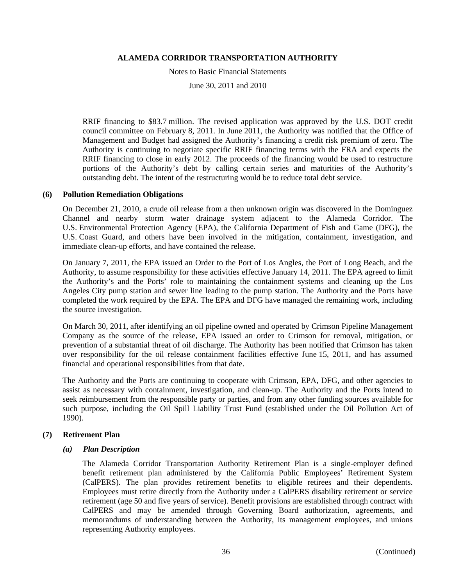Notes to Basic Financial Statements

June 30, 2011 and 2010

RRIF financing to \$83.7 million. The revised application was approved by the U.S. DOT credit council committee on February 8, 2011. In June 2011, the Authority was notified that the Office of Management and Budget had assigned the Authority's financing a credit risk premium of zero. The Authority is continuing to negotiate specific RRIF financing terms with the FRA and expects the RRIF financing to close in early 2012. The proceeds of the financing would be used to restructure portions of the Authority's debt by calling certain series and maturities of the Authority's outstanding debt. The intent of the restructuring would be to reduce total debt service.

### **(6) Pollution Remediation Obligations**

On December 21, 2010, a crude oil release from a then unknown origin was discovered in the Dominguez Channel and nearby storm water drainage system adjacent to the Alameda Corridor. The U.S. Environmental Protection Agency (EPA), the California Department of Fish and Game (DFG), the U.S. Coast Guard, and others have been involved in the mitigation, containment, investigation, and immediate clean-up efforts, and have contained the release.

On January 7, 2011, the EPA issued an Order to the Port of Los Angles, the Port of Long Beach, and the Authority, to assume responsibility for these activities effective January 14, 2011. The EPA agreed to limit the Authority's and the Ports' role to maintaining the containment systems and cleaning up the Los Angeles City pump station and sewer line leading to the pump station. The Authority and the Ports have completed the work required by the EPA. The EPA and DFG have managed the remaining work, including the source investigation.

On March 30, 2011, after identifying an oil pipeline owned and operated by Crimson Pipeline Management Company as the source of the release, EPA issued an order to Crimson for removal, mitigation, or prevention of a substantial threat of oil discharge. The Authority has been notified that Crimson has taken over responsibility for the oil release containment facilities effective June 15, 2011, and has assumed financial and operational responsibilities from that date.

The Authority and the Ports are continuing to cooperate with Crimson, EPA, DFG, and other agencies to assist as necessary with containment, investigation, and clean-up. The Authority and the Ports intend to seek reimbursement from the responsible party or parties, and from any other funding sources available for such purpose, including the Oil Spill Liability Trust Fund (established under the Oil Pollution Act of 1990).

#### **(7) Retirement Plan**

#### *(a) Plan Description*

The Alameda Corridor Transportation Authority Retirement Plan is a single-employer defined benefit retirement plan administered by the California Public Employees' Retirement System (CalPERS). The plan provides retirement benefits to eligible retirees and their dependents. Employees must retire directly from the Authority under a CalPERS disability retirement or service retirement (age 50 and five years of service). Benefit provisions are established through contract with CalPERS and may be amended through Governing Board authorization, agreements, and memorandums of understanding between the Authority, its management employees, and unions representing Authority employees.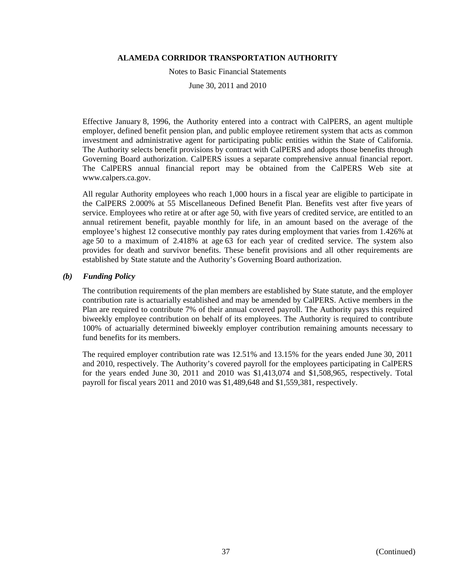Notes to Basic Financial Statements

June 30, 2011 and 2010

Effective January 8, 1996, the Authority entered into a contract with CalPERS, an agent multiple employer, defined benefit pension plan, and public employee retirement system that acts as common investment and administrative agent for participating public entities within the State of California. The Authority selects benefit provisions by contract with CalPERS and adopts those benefits through Governing Board authorization. CalPERS issues a separate comprehensive annual financial report. The CalPERS annual financial report may be obtained from the CalPERS Web site at www.calpers.ca.gov.

All regular Authority employees who reach 1,000 hours in a fiscal year are eligible to participate in the CalPERS 2.000% at 55 Miscellaneous Defined Benefit Plan. Benefits vest after five years of service. Employees who retire at or after age 50, with five years of credited service, are entitled to an annual retirement benefit, payable monthly for life, in an amount based on the average of the employee's highest 12 consecutive monthly pay rates during employment that varies from 1.426% at age 50 to a maximum of 2.418% at age 63 for each year of credited service. The system also provides for death and survivor benefits. These benefit provisions and all other requirements are established by State statute and the Authority's Governing Board authorization.

#### *(b) Funding Policy*

The contribution requirements of the plan members are established by State statute, and the employer contribution rate is actuarially established and may be amended by CalPERS. Active members in the Plan are required to contribute 7% of their annual covered payroll. The Authority pays this required biweekly employee contribution on behalf of its employees. The Authority is required to contribute 100% of actuarially determined biweekly employer contribution remaining amounts necessary to fund benefits for its members.

The required employer contribution rate was 12.51% and 13.15% for the years ended June 30, 2011 and 2010, respectively. The Authority's covered payroll for the employees participating in CalPERS for the years ended June 30, 2011 and 2010 was \$1,413,074 and \$1,508,965, respectively. Total payroll for fiscal years 2011 and 2010 was \$1,489,648 and \$1,559,381, respectively.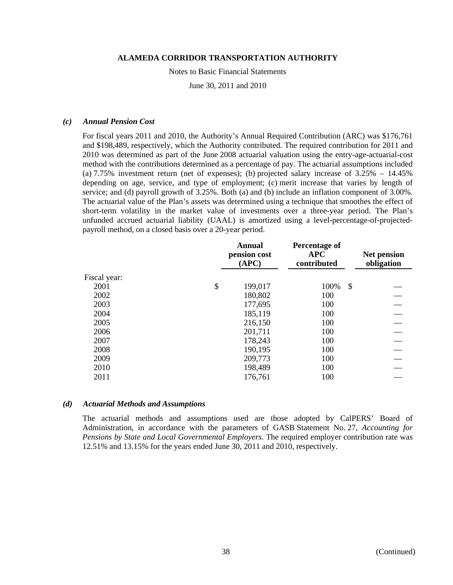Notes to Basic Financial Statements

June 30, 2011 and 2010

#### *(c) Annual Pension Cost*

For fiscal years 2011 and 2010, the Authority's Annual Required Contribution (ARC) was \$176,761 and \$198,489, respectively, which the Authority contributed. The required contribution for 2011 and 2010 was determined as part of the June 2008 actuarial valuation using the entry-age-actuarial-cost method with the contributions determined as a percentage of pay. The actuarial assumptions included (a) 7.75% investment return (net of expenses); (b) projected salary increase of  $3.25% - 14.45%$ depending on age, service, and type of employment; (c) merit increase that varies by length of service; and (d) payroll growth of 3.25%. Both (a) and (b) include an inflation component of 3.00%. The actuarial value of the Plan's assets was determined using a technique that smoothes the effect of short-term volatility in the market value of investments over a three-year period. The Plan's unfunded accrued actuarial liability (UAAL) is amortized using a level-percentage-of-projectedpayroll method, on a closed basis over a 20-year period.

|              | <b>Annual</b><br>pension cost<br>(APC) | <b>Percentage of</b><br><b>APC</b><br>contributed | Net pension<br>obligation |
|--------------|----------------------------------------|---------------------------------------------------|---------------------------|
| Fiscal year: |                                        |                                                   |                           |
| 2001         | \$<br>199,017                          | 100%                                              | \$                        |
| 2002         | 180,802                                | 100                                               |                           |
| 2003         | 177,695                                | 100                                               |                           |
| 2004         | 185,119                                | 100                                               |                           |
| 2005         | 216,150                                | 100                                               |                           |
| 2006         | 201,711                                | 100                                               |                           |
| 2007         | 178,243                                | 100                                               |                           |
| 2008         | 190,195                                | 100                                               |                           |
| 2009         | 209,773                                | 100                                               |                           |
| 2010         | 198,489                                | 100                                               |                           |
| 2011         | 176,761                                | 100                                               |                           |
|              |                                        |                                                   |                           |

#### *(d) Actuarial Methods and Assumptions*

The actuarial methods and assumptions used are those adopted by CalPERS' Board of Administration, in accordance with the parameters of GASB Statement No. 27, *Accounting for Pensions by State and Local Governmental Employers*. The required employer contribution rate was 12.51% and 13.15% for the years ended June 30, 2011 and 2010, respectively.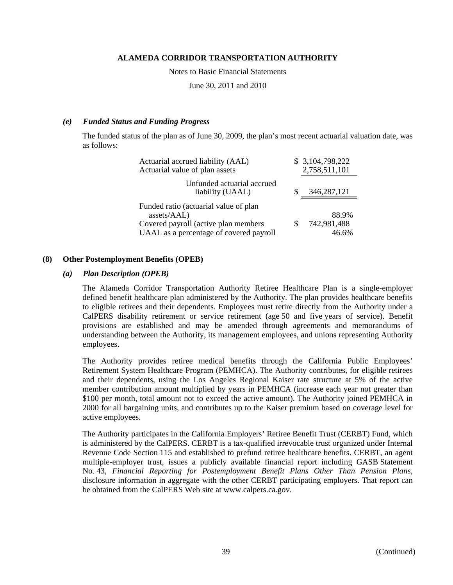Notes to Basic Financial Statements

June 30, 2011 and 2010

#### *(e) Funded Status and Funding Progress*

The funded status of the plan as of June 30, 2009, the plan's most recent actuarial valuation date, was as follows:

| Actuarial accrued liability (AAL)                                               | \$3,104,798,222 |
|---------------------------------------------------------------------------------|-----------------|
| Actuarial value of plan assets                                                  | 2,758,511,101   |
| Unfunded actuarial accrued                                                      |                 |
| liability (UAAL)                                                                | 346,287,121     |
|                                                                                 |                 |
| Funded ratio (actuarial value of plan                                           |                 |
| assets/AAL)                                                                     | 88.9%           |
| Covered payroll (active plan members<br>UAAL as a percentage of covered payroll | 742,981,488     |

### **(8) Other Postemployment Benefits (OPEB)**

#### *(a) Plan Description (OPEB)*

The Alameda Corridor Transportation Authority Retiree Healthcare Plan is a single-employer defined benefit healthcare plan administered by the Authority. The plan provides healthcare benefits to eligible retirees and their dependents. Employees must retire directly from the Authority under a CalPERS disability retirement or service retirement (age 50 and five years of service). Benefit provisions are established and may be amended through agreements and memorandums of understanding between the Authority, its management employees, and unions representing Authority employees.

The Authority provides retiree medical benefits through the California Public Employees' Retirement System Healthcare Program (PEMHCA). The Authority contributes, for eligible retirees and their dependents, using the Los Angeles Regional Kaiser rate structure at 5% of the active member contribution amount multiplied by years in PEMHCA (increase each year not greater than \$100 per month, total amount not to exceed the active amount). The Authority joined PEMHCA in 2000 for all bargaining units, and contributes up to the Kaiser premium based on coverage level for active employees.

The Authority participates in the California Employers' Retiree Benefit Trust (CERBT) Fund, which is administered by the CalPERS. CERBT is a tax-qualified irrevocable trust organized under Internal Revenue Code Section 115 and established to prefund retiree healthcare benefits. CERBT, an agent multiple-employer trust, issues a publicly available financial report including GASB Statement No. 43, *Financial Reporting for Postemployment Benefit Plans Other Than Pension Plans*, disclosure information in aggregate with the other CERBT participating employers. That report can be obtained from the CalPERS Web site at www.calpers.ca.gov.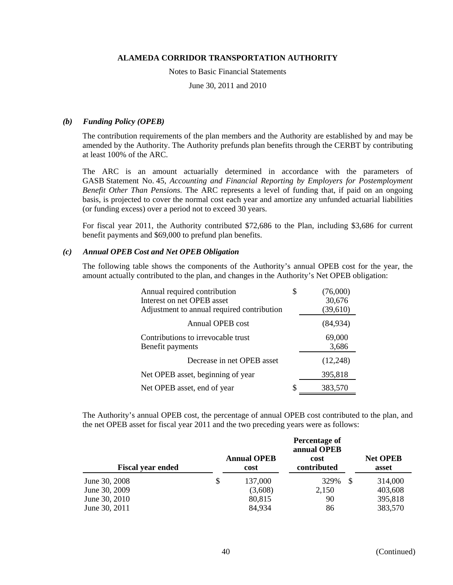Notes to Basic Financial Statements

June 30, 2011 and 2010

#### *(b) Funding Policy (OPEB)*

The contribution requirements of the plan members and the Authority are established by and may be amended by the Authority. The Authority prefunds plan benefits through the CERBT by contributing at least 100% of the ARC.

The ARC is an amount actuarially determined in accordance with the parameters of GASB Statement No. 45, *Accounting and Financial Reporting by Employers for Postemployment Benefit Other Than Pensions*. The ARC represents a level of funding that, if paid on an ongoing basis, is projected to cover the normal cost each year and amortize any unfunded actuarial liabilities (or funding excess) over a period not to exceed 30 years.

For fiscal year 2011, the Authority contributed \$72,686 to the Plan, including \$3,686 for current benefit payments and \$69,000 to prefund plan benefits.

### *(c) Annual OPEB Cost and Net OPEB Obligation*

The following table shows the components of the Authority's annual OPEB cost for the year, the amount actually contributed to the plan, and changes in the Authority's Net OPEB obligation:

| Annual required contribution<br>Interest on net OPEB asset<br>Adjustment to annual required contribution | S | (76,000)<br>30,676<br>(39,610) |
|----------------------------------------------------------------------------------------------------------|---|--------------------------------|
| Annual OPEB cost                                                                                         |   | (84, 934)                      |
| Contributions to irrevocable trust<br>Benefit payments                                                   |   | 69,000<br>3,686                |
| Decrease in net OPEB asset                                                                               |   | (12,248)                       |
| Net OPEB asset, beginning of year                                                                        |   | 395,818                        |
| Net OPEB asset, end of year                                                                              | S | 383,570                        |

The Authority's annual OPEB cost, the percentage of annual OPEB cost contributed to the plan, and the net OPEB asset for fiscal year 2011 and the two preceding years were as follows:

|                          |                            | Percentage of<br>annual OPEB |                          |
|--------------------------|----------------------------|------------------------------|--------------------------|
| <b>Fiscal year ended</b> | <b>Annual OPEB</b><br>cost | cost<br>contributed          | <b>Net OPEB</b><br>asset |
| June 30, 2008            | \$<br>137,000              | 329%                         | 314,000                  |
| June 30, 2009            | (3,608)                    | 2,150                        | 403,608                  |
| June 30, 2010            | 80,815                     | 90                           | 395,818                  |
| June 30, 2011            | 84,934                     | 86                           | 383,570                  |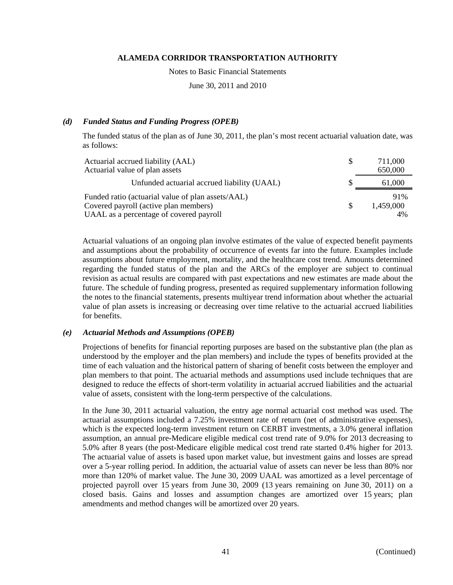Notes to Basic Financial Statements

June 30, 2011 and 2010

#### *(d) Funded Status and Funding Progress (OPEB)*

The funded status of the plan as of June 30, 2011, the plan's most recent actuarial valuation date, was as follows:

| Actuarial accrued liability (AAL)<br>Actuarial value of plan assets                                                                   |    | 711,000<br>650,000     |
|---------------------------------------------------------------------------------------------------------------------------------------|----|------------------------|
| Unfunded actuarial accrued liability (UAAL)                                                                                           |    | 61,000                 |
| Funded ratio (actuarial value of plan assets/AAL)<br>Covered payroll (active plan members)<br>UAAL as a percentage of covered payroll | -S | 91%<br>1,459,000<br>4% |

Actuarial valuations of an ongoing plan involve estimates of the value of expected benefit payments and assumptions about the probability of occurrence of events far into the future. Examples include assumptions about future employment, mortality, and the healthcare cost trend. Amounts determined regarding the funded status of the plan and the ARCs of the employer are subject to continual revision as actual results are compared with past expectations and new estimates are made about the future. The schedule of funding progress, presented as required supplementary information following the notes to the financial statements, presents multiyear trend information about whether the actuarial value of plan assets is increasing or decreasing over time relative to the actuarial accrued liabilities for benefits.

#### *(e) Actuarial Methods and Assumptions (OPEB)*

Projections of benefits for financial reporting purposes are based on the substantive plan (the plan as understood by the employer and the plan members) and include the types of benefits provided at the time of each valuation and the historical pattern of sharing of benefit costs between the employer and plan members to that point. The actuarial methods and assumptions used include techniques that are designed to reduce the effects of short-term volatility in actuarial accrued liabilities and the actuarial value of assets, consistent with the long-term perspective of the calculations.

In the June 30, 2011 actuarial valuation, the entry age normal actuarial cost method was used. The actuarial assumptions included a 7.25% investment rate of return (net of administrative expenses), which is the expected long-term investment return on CERBT investments, a 3.0% general inflation assumption, an annual pre-Medicare eligible medical cost trend rate of 9.0% for 2013 decreasing to 5.0% after 8 years (the post-Medicare eligible medical cost trend rate started 0.4% higher for 2013. The actuarial value of assets is based upon market value, but investment gains and losses are spread over a 5-year rolling period. In addition, the actuarial value of assets can never be less than 80% nor more than 120% of market value. The June 30, 2009 UAAL was amortized as a level percentage of projected payroll over 15 years from June 30, 2009 (13 years remaining on June 30, 2011) on a closed basis. Gains and losses and assumption changes are amortized over 15 years; plan amendments and method changes will be amortized over 20 years.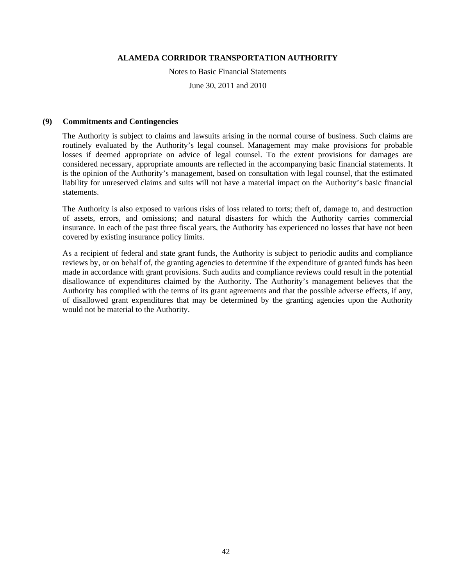Notes to Basic Financial Statements

June 30, 2011 and 2010

#### **(9) Commitments and Contingencies**

The Authority is subject to claims and lawsuits arising in the normal course of business. Such claims are routinely evaluated by the Authority's legal counsel. Management may make provisions for probable losses if deemed appropriate on advice of legal counsel. To the extent provisions for damages are considered necessary, appropriate amounts are reflected in the accompanying basic financial statements. It is the opinion of the Authority's management, based on consultation with legal counsel, that the estimated liability for unreserved claims and suits will not have a material impact on the Authority's basic financial statements.

The Authority is also exposed to various risks of loss related to torts; theft of, damage to, and destruction of assets, errors, and omissions; and natural disasters for which the Authority carries commercial insurance. In each of the past three fiscal years, the Authority has experienced no losses that have not been covered by existing insurance policy limits.

As a recipient of federal and state grant funds, the Authority is subject to periodic audits and compliance reviews by, or on behalf of, the granting agencies to determine if the expenditure of granted funds has been made in accordance with grant provisions. Such audits and compliance reviews could result in the potential disallowance of expenditures claimed by the Authority. The Authority's management believes that the Authority has complied with the terms of its grant agreements and that the possible adverse effects, if any, of disallowed grant expenditures that may be determined by the granting agencies upon the Authority would not be material to the Authority.